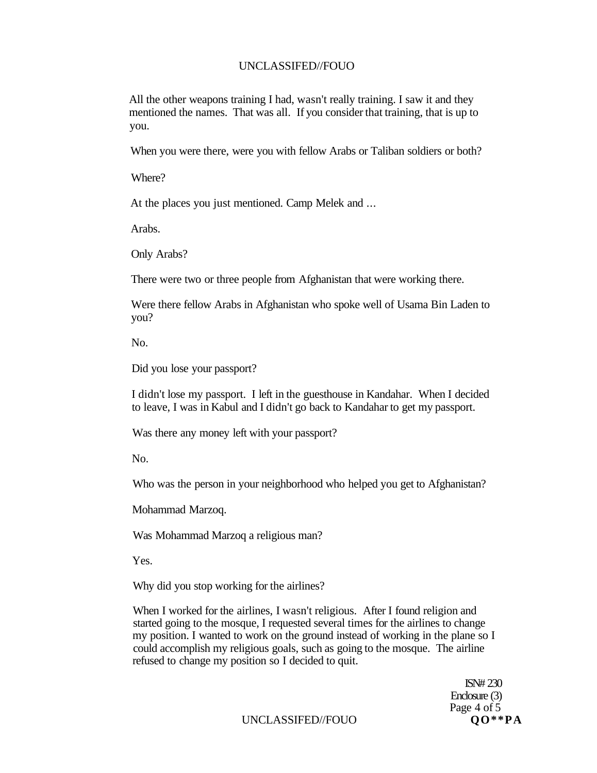All the other weapons training I had, wasn't really training. I saw it and they mentioned the names. That was all. If you consider that training, that is up to you.

When you were there, were you with fellow Arabs or Taliban soldiers or both?

Where?

At the places you just mentioned. Camp Melek and ...

Arabs.

Only Arabs?

There were two or three people from Afghanistan that were working there.

Were there fellow Arabs in Afghanistan who spoke well of Usama Bin Laden to you?

No.

Did you lose your passport?

I didn't lose my passport. I left in the guesthouse in Kandahar. When I decided to leave, I was in Kabul and I didn't go back to Kandahar to get my passport.

Was there any money left with your passport?

No.

Who was the person in your neighborhood who helped you get to Afghanistan?

Mohammad Marzoq.

Was Mohammad Marzoq a religious man?

Yes.

Why did you stop working for the airlines?

When I worked for the airlines, I wasn't religious. After I found religion and started going to the mosque, I requested several times for the airlines to change my position. I wanted to work on the ground instead of working in the plane so I could accomplish my religious goals, such as going to the mosque. The airline refused to change my position so I decided to quit.

> ISN# 230 Enclosure (3) Page 4 of 5<br> $OO^*PA$

UNCLASSIFED//FOUO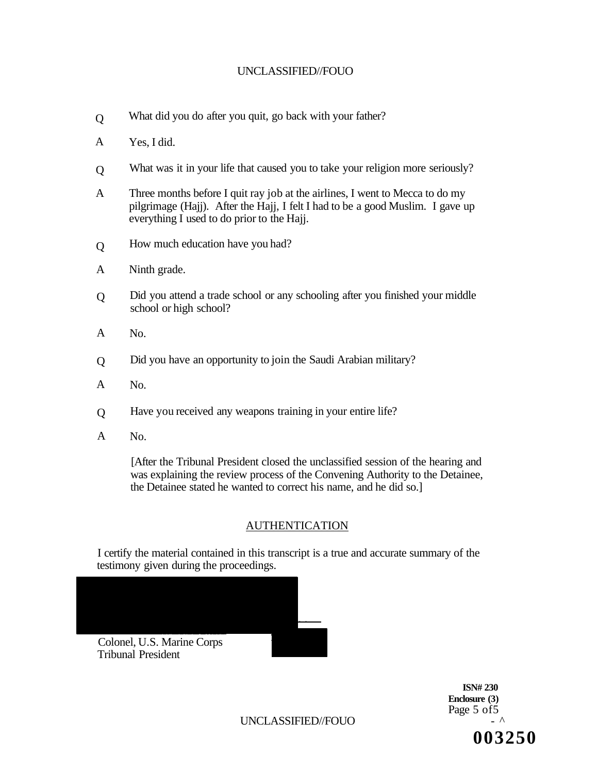- $\overline{O}$ What did you do after you quit, go back with your father?
- A Yes, I did.
- $\overline{O}$ What was it in your life that caused you to take your religion more seriously?
- A Three months before I quit ray job at the airlines, I went to Mecca to do my pilgrimage (Hajj). After the Hajj, I felt I had to be a good Muslim. I gave up everything I used to do prior to the Hajj.
- $\overline{O}$ How much education have you had?
- A Ninth grade.
- Q Did you attend a trade school or any schooling after you finished your middle school or high school?
- A No.
- $\overline{O}$ Did you have an opportunity to join the Saudi Arabian military?
- A No.
- Q Have you received any weapons training in your entire life?
- A No.

[After the Tribunal President closed the unclassified session of the hearing and was explaining the review process of the Convening Authority to the Detainee, the Detainee stated he wanted to correct his name, and he did so.]

#### AUTHENTICATION

I certify the material contained in this transcript is a true and accurate summary of the testimony given during the proceedings.



**ISN# 230 Enclosure (3)**  Page 5 of5 **003250** 

UNCLASSIFIED//FOUO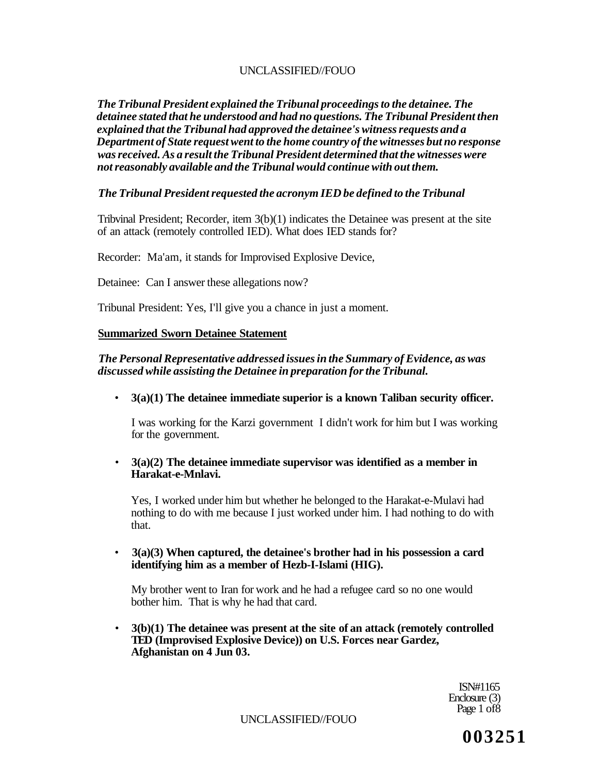*The Tribunal President explained the Tribunal proceedings to the detainee. The detainee stated that he understood and had no questions. The Tribunal President then explained that the Tribunal had approved the detainee's witness requests and a Department of State request went to the home country of the witnesses but no response was received. As a result the Tribunal President determined that the witnesses were not reasonably available and the Tribunal would continue with out them.* 

#### *The Tribunal President requested the acronym IED be defined to the Tribunal*

Tribvinal President; Recorder, item 3(b)(1) indicates the Detainee was present at the site of an attack (remotely controlled IED). What does IED stands for?

Recorder: Ma'am, it stands for Improvised Explosive Device,

Detainee: Can I answer these allegations now?

Tribunal President: Yes, I'll give you a chance in just a moment.

#### **Summarized Sworn Detainee Statement**

*The Personal Representative addressed issues in the Summary of Evidence, as was discussed while assisting the Detainee in preparation for the Tribunal.* 

• **3(a)(1) The detainee immediate superior is a known Taliban security officer.** 

I was working for the Karzi government I didn't work for him but I was working for the government.

#### • **3(a)(2) The detainee immediate supervisor was identified as a member in Harakat-e-Mnlavi.**

Yes, I worked under him but whether he belonged to the Harakat-e-Mulavi had nothing to do with me because I just worked under him. I had nothing to do with that.

• **3(a)(3) When captured, the detainee's brother had in his possession a card identifying him as a member of Hezb-I-Islami (HIG).** 

My brother went to Iran for work and he had a refugee card so no one would bother him. That is why he had that card.

• **3(b)(1) The detainee was present at the site of an attack (remotely controlled TED (Improvised Explosive Device)) on U.S. Forces near Gardez, Afghanistan on 4 Jun 03.** 

> ISN#1165 Enclosure (3) Page 1 of 8

UNCLASSIFIED//FOUO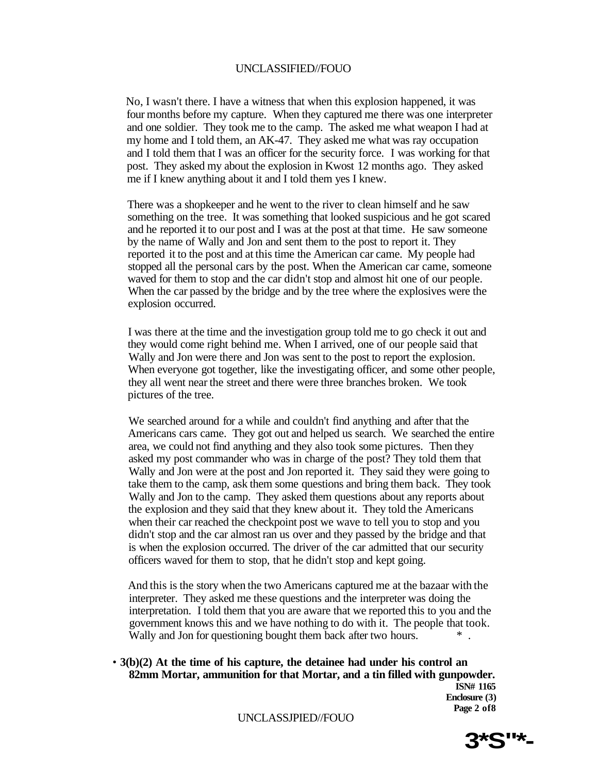No, I wasn't there. I have a witness that when this explosion happened, it was four months before my capture. When they captured me there was one interpreter and one soldier. They took me to the camp. The asked me what weapon I had at my home and I told them, an AK-47. They asked me what was ray occupation and I told them that I was an officer for the security force. I was working for that post. They asked my about the explosion in Kwost 12 months ago. They asked me if I knew anything about it and I told them yes I knew.

There was a shopkeeper and he went to the river to clean himself and he saw something on the tree. It was something that looked suspicious and he got scared and he reported it to our post and I was at the post at that time. He saw someone by the name of Wally and Jon and sent them to the post to report it. They reported it to the post and at this time the American car came. My people had stopped all the personal cars by the post. When the American car came, someone waved for them to stop and the car didn't stop and almost hit one of our people. When the car passed by the bridge and by the tree where the explosives were the explosion occurred.

I was there at the time and the investigation group told me to go check it out and they would come right behind me. When I arrived, one of our people said that Wally and Jon were there and Jon was sent to the post to report the explosion. When everyone got together, like the investigating officer, and some other people, they all went near the street and there were three branches broken. We took pictures of the tree.

We searched around for a while and couldn't find anything and after that the Americans cars came. They got out and helped us search. We searched the entire area, we could not find anything and they also took some pictures. Then they asked my post commander who was in charge of the post? They told them that Wally and Jon were at the post and Jon reported it. They said they were going to take them to the camp, ask them some questions and bring them back. They took Wally and Jon to the camp. They asked them questions about any reports about the explosion and they said that they knew about it. They told the Americans when their car reached the checkpoint post we wave to tell you to stop and you didn't stop and the car almost ran us over and they passed by the bridge and that is when the explosion occurred. The driver of the car admitted that our security officers waved for them to stop, that he didn't stop and kept going.

And this is the story when the two Americans captured me at the bazaar with the interpreter. They asked me these questions and the interpreter was doing the interpretation. I told them that you are aware that we reported this to you and the government knows this and we have nothing to do with it. The people that took. Wally and Jon for questioning bought them back after two hours.  $*$ .

• **3(b)(2) At the time of his capture, the detainee had under his control an 82mm Mortar, ammunition for that Mortar, and a tin filled with gunpowder. ISN# 1165** 

**Enclosure (3) Page 2 of8** 

UNCLASSJPIED//FOUO

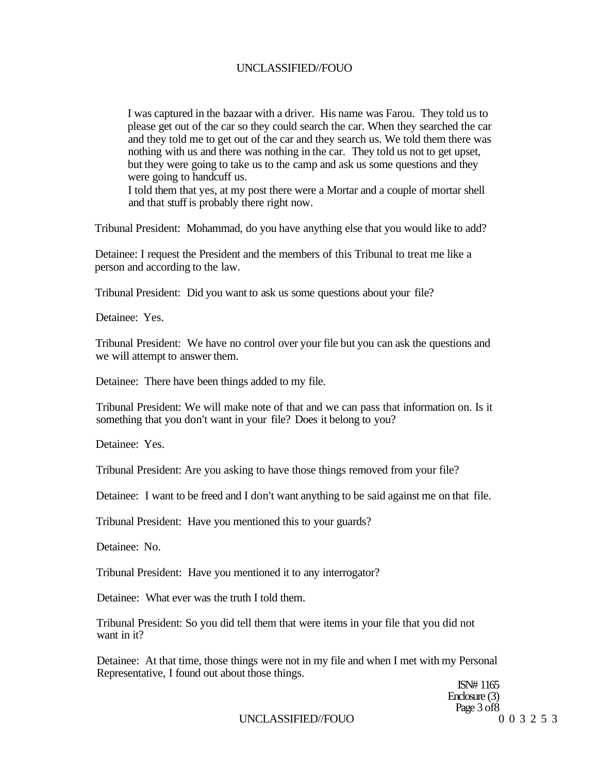I was captured in the bazaar with a driver. His name was Farou. They told us to please get out of the car so they could search the car. When they searched the car and they told me to get out of the car and they search us. We told them there was nothing with us and there was nothing in the car. They told us not to get upset, but they were going to take us to the camp and ask us some questions and they were going to handcuff us.

I told them that yes, at my post there were a Mortar and a couple of mortar shell and that stuff is probably there right now.

Tribunal President: Mohammad, do you have anything else that you would like to add?

Detainee: I request the President and the members of this Tribunal to treat me like a person and according to the law.

Tribunal President: Did you want to ask us some questions about your file?

Detainee: Yes.

Tribunal President: We have no control over your file but you can ask the questions and we will attempt to answer them.

Detainee: There have been things added to my file.

Tribunal President: We will make note of that and we can pass that information on. Is it something that you don't want in your file? Does it belong to you?

Detainee: Yes.

Tribunal President: Are you asking to have those things removed from your file?

Detainee: I want to be freed and I don't want anything to be said against me on that file.

Tribunal President: Have you mentioned this to your guards?

Detainee: No.

Tribunal President: Have you mentioned it to any interrogator?

Detainee: What ever was the truth I told them.

Tribunal President: So you did tell them that were items in your file that you did not want in it?

Detainee: At that time, those things were not in my file and when I met with my Personal Representative, I found out about those things.

ISN# 1165 Enclosure (3) Page 3 of 8<br>0 0 3 2 5 3

UNCLASSIFIED//FOUO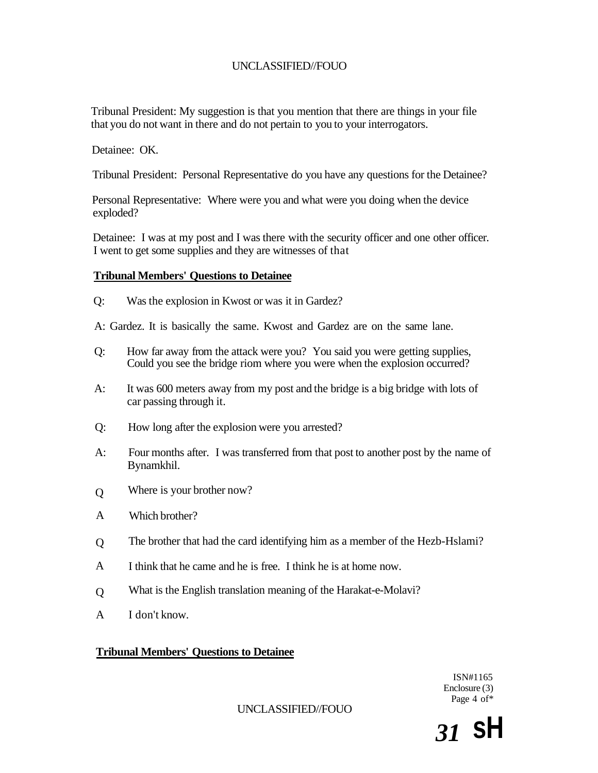Tribunal President: My suggestion is that you mention that there are things in your file that you do not want in there and do not pertain to you to your interrogators.

Detainee: OK.

Tribunal President: Personal Representative do you have any questions for the Detainee?

Personal Representative: Where were you and what were you doing when the device exploded?

Detainee: I was at my post and I was there with the security officer and one other officer. I went to get some supplies and they are witnesses of that

#### **Tribunal Members' Questions to Detainee**

- Q: Was the explosion in Kwost or was it in Gardez?
- A: Gardez. It is basically the same. Kwost and Gardez are on the same lane.
- Q: How far away from the attack were you? You said you were getting supplies, Could you see the bridge riom where you were when the explosion occurred?
- A: It was 600 meters away from my post and the bridge is a big bridge with lots of car passing through it.
- Q: How long after the explosion were you arrested?
- A: Four months after. I was transferred from that post to another post by the name of Bynamkhil.
- $\overline{O}$ Where is your brother now?
- A Which brother?
- $\overline{O}$ The brother that had the card identifying him as a member of the Hezb-Hslami?
- A I think that he came and he is free. I think he is at home now.
- $\Omega$ What is the English translation meaning of the Harakat-e-Molavi?
- A I don't know.

## **Tribunal Members' Questions to Detainee**

ISN#1165 Enclosure (3) Page 4 of\*

UNCLASSIFIED//FOUO

*31* **sH**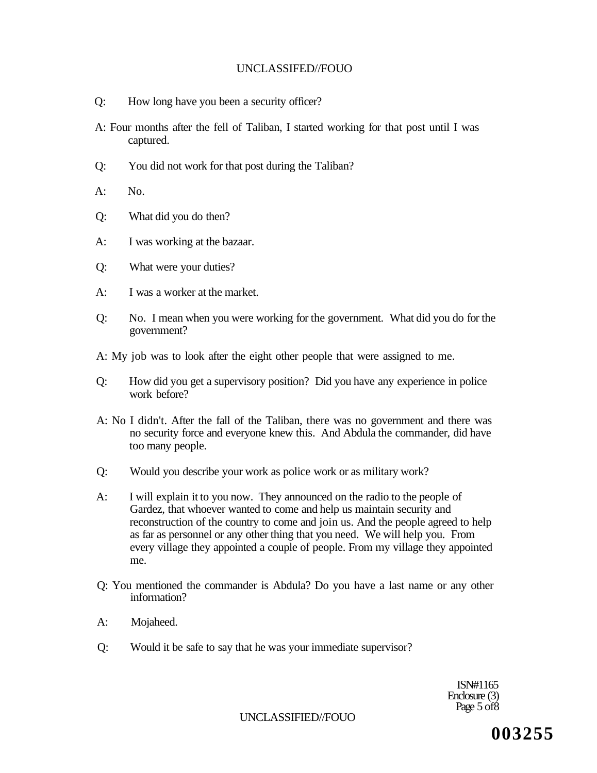- Q: How long have you been a security officer?
- A: Four months after the fell of Taliban, I started working for that post until I was captured.
- Q: You did not work for that post during the Taliban?
- $A:$  No.
- Q: What did you do then?
- A: I was working at the bazaar.
- Q: What were your duties?
- A: I was a worker at the market.
- Q: No. I mean when you were working for the government. What did you do for the government?
- A: My job was to look after the eight other people that were assigned to me.
- Q: How did you get a supervisory position? Did you have any experience in police work before?
- A: No I didn't. After the fall of the Taliban, there was no government and there was no security force and everyone knew this. And Abdula the commander, did have too many people.
- Q: Would you describe your work as police work or as military work?
- A: I will explain it to you now. They announced on the radio to the people of Gardez, that whoever wanted to come and help us maintain security and reconstruction of the country to come and join us. And the people agreed to help as far as personnel or any other thing that you need. We will help you. From every village they appointed a couple of people. From my village they appointed me.
- Q: You mentioned the commander is Abdula? Do you have a last name or any other information?
- A: Mojaheed.
- Q: Would it be safe to say that he was your immediate supervisor?

ISN#1165 Enclosure (3) Page 5 of 8

UNCLASSIFIED//FOUO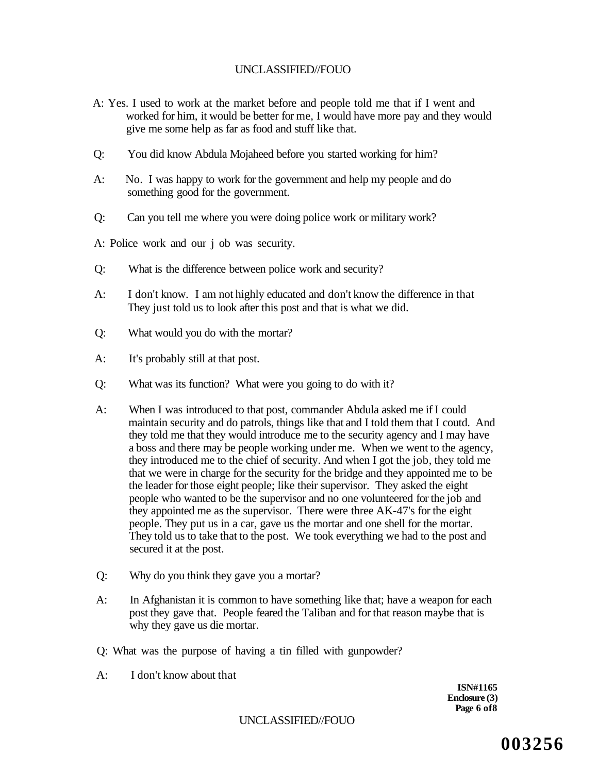- A: Yes. I used to work at the market before and people told me that if I went and worked for him, it would be better for me, I would have more pay and they would give me some help as far as food and stuff like that.
- Q: You did know Abdula Mojaheed before you started working for him?
- A: No. I was happy to work for the government and help my people and do something good for the government.
- Q: Can you tell me where you were doing police work or military work?
- A: Police work and our j ob was security.
- Q: What is the difference between police work and security?
- A: I don't know. I am not highly educated and don't know the difference in that They just told us to look after this post and that is what we did.
- Q: What would you do with the mortar?
- A: It's probably still at that post.
- Q: What was its function? What were you going to do with it?
- A: When I was introduced to that post, commander Abdula asked me if I could maintain security and do patrols, things like that and I told them that I coutd. And they told me that they would introduce me to the security agency and I may have a boss and there may be people working under me. When we went to the agency, they introduced me to the chief of security. And when I got the job, they told me that we were in charge for the security for the bridge and they appointed me to be the leader for those eight people; like their supervisor. They asked the eight people who wanted to be the supervisor and no one volunteered for the job and they appointed me as the supervisor. There were three AK-47's for the eight people. They put us in a car, gave us the mortar and one shell for the mortar. They told us to take that to the post. We took everything we had to the post and secured it at the post.
- Q: Why do you think they gave you a mortar?
- A: In Afghanistan it is common to have something like that; have a weapon for each post they gave that. People feared the Taliban and for that reason maybe that is why they gave us die mortar.
- Q: What was the purpose of having a tin filled with gunpowder?
- A: I don't know about that

**ISN#1165 Enclosure (3) Page 6 of8** 

UNCLASSIFIED//FOUO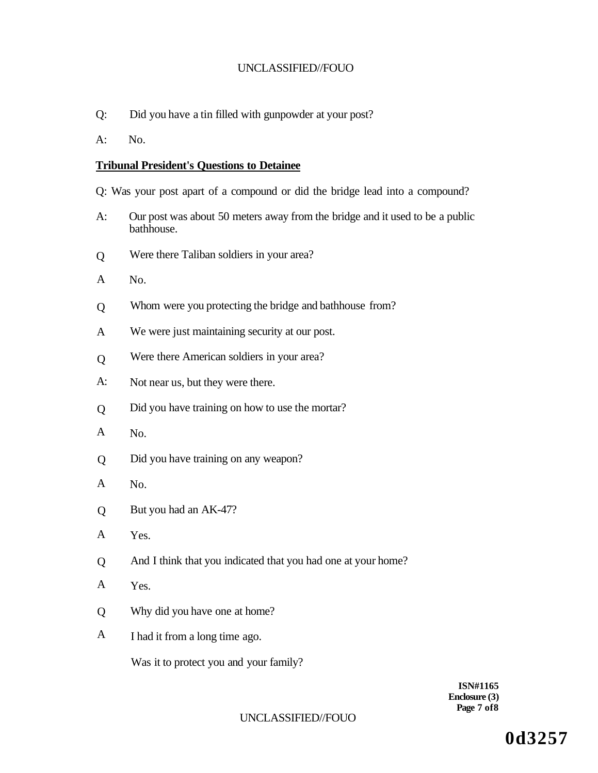Q: Did you have a tin filled with gunpowder at your post?

 $A:$  No.

#### **Tribunal President's Questions to Detainee**

Q: Was your post apart of a compound or did the bridge lead into a compound?

- A: Our post was about 50 meters away from the bridge and it used to be a public bathhouse.
- $\overline{O}$ Were there Taliban soldiers in your area?
- A No.
- $\overline{O}$ Whom were you protecting the bridge and bathhouse from?
- A We were just maintaining security at our post.
- $\overline{O}$ Were there American soldiers in your area?
- A: Not near us, but they were there.
- Q Did you have training on how to use the mortar?
- A No.
- Q Did you have training on any weapon?
- A No.
- Q But you had an AK-47?
- A Yes.
- $\overline{O}$ And I think that you indicated that you had one at your home?
- A Yes.
- Q Why did you have one at home?
- A I had it from a long time ago.

Was it to protect you and your family?

**ISN#1165 Enclosure (3) Page 7 of8** 

UNCLASSIFIED//FOUO

**0d3257**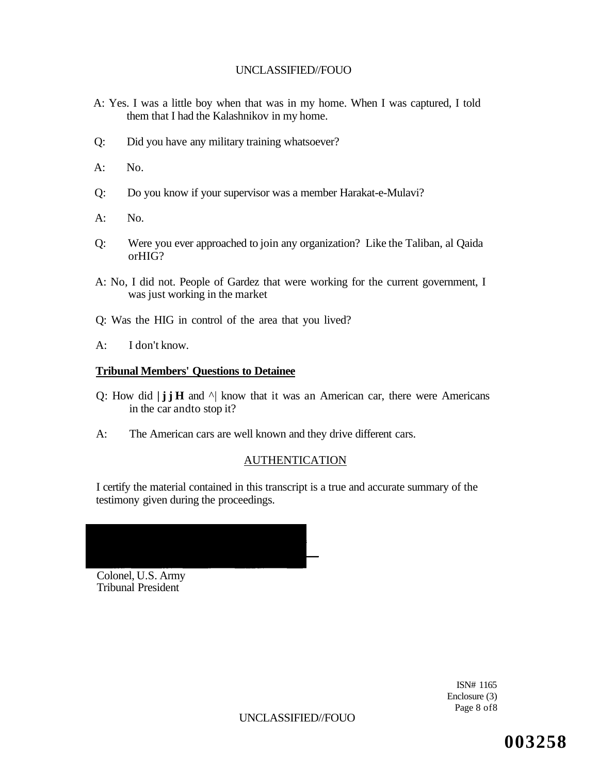- A: Yes. I was a little boy when that was in my home. When I was captured, I told them that I had the Kalashnikov in my home.
- Q: Did you have any military training whatsoever?
- $A:$  No.
- Q: Do you know if your supervisor was a member Harakat-e-Mulavi?
- A: No.
- Q: Were you ever approached to join any organization? Like the Taliban, al Qaida orHIG?
- A: No, I did not. People of Gardez that were working for the current government, I was just working in the market
- Q: Was the HIG in control of the area that you lived?
- A: I don't know.

## **Tribunal Members' Questions to Detainee**

- Q: How did  $|\textbf{j}|\textbf{j}$  **H** and  $\land$  know that it was an American car, there were Americans in the car andto stop it?
- A: The American cars are well known and they drive different cars.

## AUTHENTICATION

I certify the material contained in this transcript is a true and accurate summary of the testimony given during the proceedings.



Tribunal President

ISN# 1165 Enclosure (3) Page 8 of8

UNCLASSIFIED//FOUO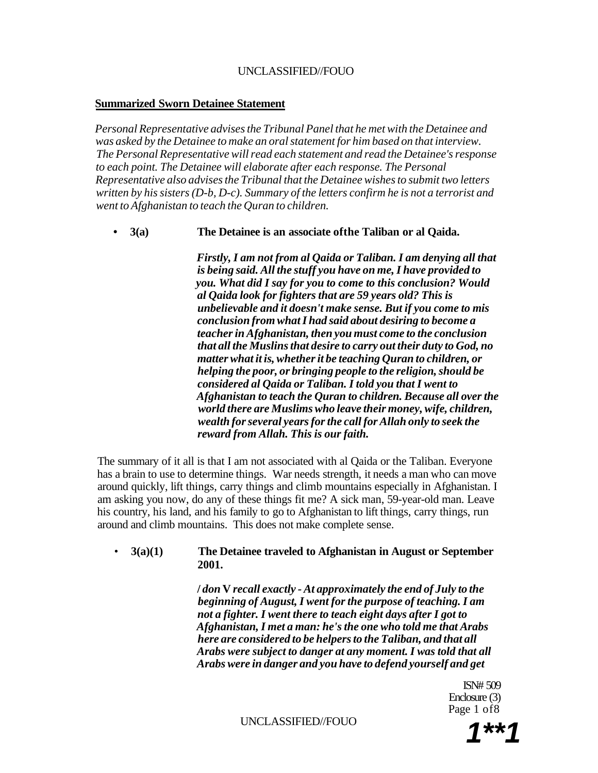#### **Summarized Sworn Detainee Statement**

*Personal Representative advises the Tribunal Panel that he met with the Detainee and was asked by the Detainee to make an oral statement for him based on that interview. The Personal Representative will read each statement and read the Detainee's response to each point. The Detainee will elaborate after each response. The Personal Representative also advises the Tribunal that the Detainee wishes to submit two letters written by his sisters (D-b, D-c). Summary of the letters confirm he is not a terrorist and went to Afghanistan to teach the Quran to children.* 

#### **• 3(a) The Detainee is an associate ofthe Taliban or al Qaida.**

*Firstly, I am not from al Qaida or Taliban. I am denying all that is being said. All the stuff you have on me, I have provided to you. What did I say for you to come to this conclusion? Would al Qaida look for fighters that are 59 years old? This is unbelievable and it doesn't make sense. But if you come to mis conclusion from what I had said about desiring to become a teacher in Afghanistan, then you must come to the conclusion that all the Muslins that desire to carry out their duty to God, no matter what it is, whether it be teaching Quran to children, or helping the poor, or bringing people to the religion, should be considered al Qaida or Taliban. I told you that I went to Afghanistan to teach the Quran to children. Because all over the world there are Muslims who leave their money, wife, children, wealth for several years for the call for Allah only to seek the reward from Allah. This is our faith.* 

The summary of it all is that I am not associated with al Qaida or the Taliban. Everyone has a brain to use to determine things. War needs strength, it needs a man who can move around quickly, lift things, carry things and climb mountains especially in Afghanistan. I am asking you now, do any of these things fit me? A sick man, 59-year-old man. Leave his country, his land, and his family to go to Afghanistan to lift things, carry things, run around and climb mountains. This does not make complete sense.

• **3(a)(1) The Detainee traveled to Afghanistan in August or September 2001.** 

> **/** *don* **V** *recall exactly - At approximately the end of July to the beginning of August, I went for the purpose of teaching. I am not a fighter. I went there to teach eight days after I got to Afghanistan, I met a man: he's the one who told me that Arabs here are considered to be helpers to the Taliban, and that all Arabs were subject to danger at any moment. I was told that all Arabs were in danger and you have to defend yourself and get*

> > ISN# 509 Enclosure (3) Page 1 of8

UNCLASSIFIED//FOUO<br>**1\*\*1**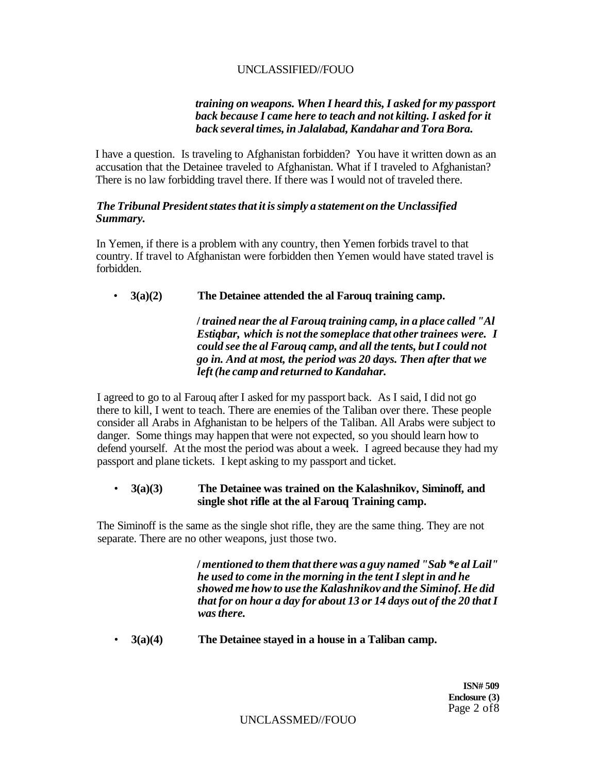## *training on weapons. When I heard this, I asked for my passport back because I came here to teach and not kilting. I asked for it back several times, in Jalalabad, Kandahar and Tora Bora.*

I have a question. Is traveling to Afghanistan forbidden? You have it written down as an accusation that the Detainee traveled to Afghanistan. What if I traveled to Afghanistan? There is no law forbidding travel there. If there was I would not of traveled there.

## *The Tribunal President states that it is simply a statement on the Unclassified Summary.*

In Yemen, if there is a problem with any country, then Yemen forbids travel to that country. If travel to Afghanistan were forbidden then Yemen would have stated travel is forbidden.

• **3(a)(2) The Detainee attended the al Farouq training camp.** 

**/** *trained near the al Farouq training camp, in a place called "Al Estiqbar, which is not the someplace that other trainees were. I could see the al Farouq camp, and all the tents, but I could not go in. And at most, the period was 20 days. Then after that we left (he camp and returned to Kandahar.* 

I agreed to go to al Farouq after I asked for my passport back. As I said, I did not go there to kill, I went to teach. There are enemies of the Taliban over there. These people consider all Arabs in Afghanistan to be helpers of the Taliban. All Arabs were subject to danger. Some things may happen that were not expected, so you should learn how to defend yourself. At the most the period was about a week. I agreed because they had my passport and plane tickets. I kept asking to my passport and ticket.

#### • **3(a)(3) The Detainee was trained on the Kalashnikov, Siminoff, and single shot rifle at the al Farouq Training camp.**

The Siminoff is the same as the single shot rifle, they are the same thing. They are not separate. There are no other weapons, just those two.

> **/** *mentioned to them that there was a guy named "Sab \*e al Lail" he used to come in the morning in the tent I slept in and he showed me how to use the Kalashnikov and the Siminof. He did that for on hour a day for about 13 or 14 days out of the 20 that I was there.*

• **3(a)(4) The Detainee stayed in a house in a Taliban camp.** 

**ISN# 509 Enclosure (3)**  Page 2 of 8

## UNCLASSMED//FOUO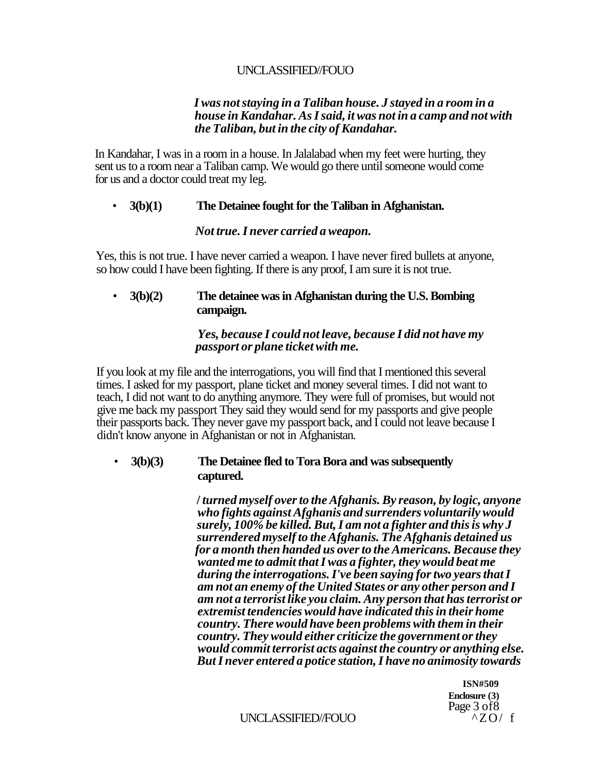## *I was not staying in a Taliban house. J stayed in a room in a house in Kandahar. As I said, it was not in a camp and not with the Taliban, but in the city of Kandahar.*

In Kandahar, I was in a room in a house. In Jalalabad when my feet were hurting, they sent us to a room near a Taliban camp. We would go there until someone would come for us and a doctor could treat my leg.

## • **3(b)(1) The Detainee fought for the Taliban in Afghanistan.**

## *Not true. I never carried a weapon.*

Yes, this is not true. I have never carried a weapon. I have never fired bullets at anyone, so how could I have been fighting. If there is any proof, I am sure it is not true.

## • **3(b)(2) The detainee was in Afghanistan during the U.S. Bombing campaign.**

## *Yes, because I could not leave, because I did not have my passport or plane ticket with me.*

If you look at my file and the interrogations, you will find that I mentioned this several times. I asked for my passport, plane ticket and money several times. I did not want to teach, I did not want to do anything anymore. They were full of promises, but would not give me back my passport They said they would send for my passports and give people their passports back. They never gave my passport back, and I could not leave because I didn't know anyone in Afghanistan or not in Afghanistan.

## • **3(b)(3) The Detainee fled to Tora Bora and was subsequently captured.**

**/** *turned myself over to the Afghanis. By reason, by logic, anyone who fights against Afghanis and surrenders voluntarily would surely, 100% be killed. But, I am not a fighter and this is why J surrendered myself to the Afghanis. The Afghanis detained us for a month then handed us over to the Americans. Because they wanted me to admit that I was a fighter, they would beat me during the interrogations. I've been saying for two years that I am not an enemy of the United States or any other person and I am not a terrorist like you claim. Any person that has terrorist or extremist tendencies would have indicated this in their home country. There would have been problems with them in their country. They would either criticize the government or they would commit terrorist acts against the country or anything else. But I never entered a potice station, I have no animosity towards* 

> **ISN#509 Enclosure (3)**  Page 3 of 8<br> $^{6}$   $^{6}$  ZO/ f

UNCLASSIFIED//FOUO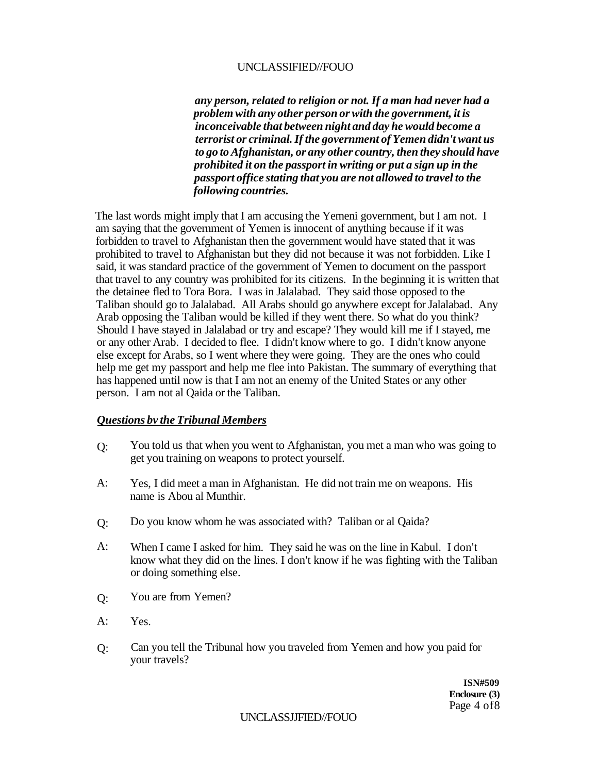*any person, related to religion or not. If a man had never had a problem with any other person or with the government, it is inconceivable that between night and day he would become a terrorist or criminal. If the government of Yemen didn't want us to go to Afghanistan, or any other country, then they should have prohibited it on the passport in writing or put a sign up in the passport office stating that you are not allowed to travel to the following countries.* 

The last words might imply that I am accusing the Yemeni government, but I am not. I am saying that the government of Yemen is innocent of anything because if it was forbidden to travel to Afghanistan then the government would have stated that it was prohibited to travel to Afghanistan but they did not because it was not forbidden. Like I said, it was standard practice of the government of Yemen to document on the passport that travel to any country was prohibited for its citizens. In the beginning it is written that the detainee fled to Tora Bora. I was in Jalalabad. They said those opposed to the Taliban should go to Jalalabad. All Arabs should go anywhere except for Jalalabad. Any Arab opposing the Taliban would be killed if they went there. So what do you think? Should I have stayed in Jalalabad or try and escape? They would kill me if I stayed, me or any other Arab. I decided to flee. I didn't know where to go. I didn't know anyone else except for Arabs, so I went where they were going. They are the ones who could help me get my passport and help me flee into Pakistan. The summary of everything that has happened until now is that I am not an enemy of the United States or any other person. I am not al Qaida or the Taliban.

## *Questions bv the Tribunal Members*

- You told us that when you went to Afghanistan, you met a man who was going to get you training on weapons to protect yourself. Q:
- Yes, I did meet a man in Afghanistan. He did not train me on weapons. His name is Abou al Munthir.  $A$ :
- Do you know whom he was associated with? Taliban or al Qaida?  $O:$
- When I came I asked for him. They said he was on the line in Kabul. I don't know what they did on the lines. I don't know if he was fighting with the Taliban or doing something else.  $A$ :
- You are from Yemen?  $Q$ :
- Yes.  $A$ :
- Can you tell the Tribunal how you traveled from Yemen and how you paid for your travels?  $Q$ :

**ISN#509 Enclosure (3)**  Page 4 of 8

UNCLASSJJFIED//FOUO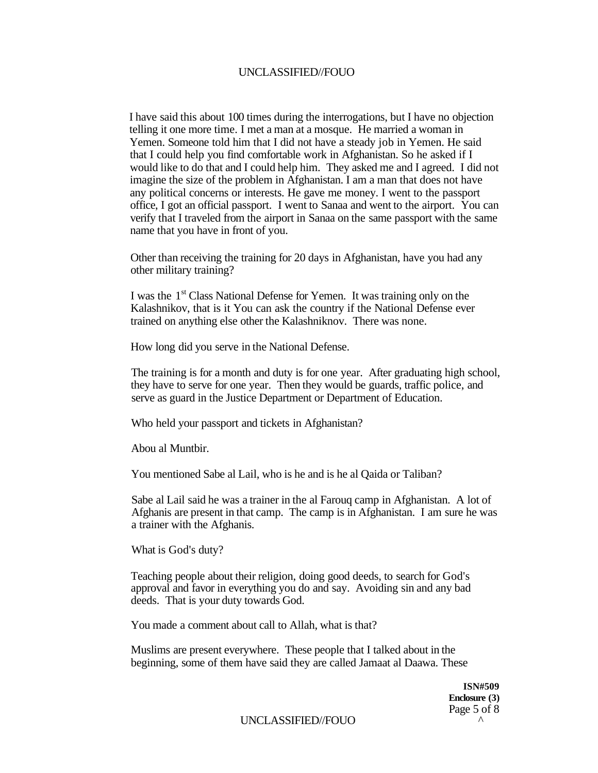I have said this about 100 times during the interrogations, but I have no objection telling it one more time. I met a man at a mosque. He married a woman in Yemen. Someone told him that I did not have a steady job in Yemen. He said that I could help you find comfortable work in Afghanistan. So he asked if I would like to do that and I could help him. They asked me and I agreed. I did not imagine the size of the problem in Afghanistan. I am a man that does not have any political concerns or interests. He gave me money. I went to the passport office, I got an official passport. I went to Sanaa and went to the airport. You can verify that I traveled from the airport in Sanaa on the same passport with the same name that you have in front of you.

Other than receiving the training for 20 days in Afghanistan, have you had any other military training?

I was the 1<sup>st</sup> Class National Defense for Yemen. It was training only on the Kalashnikov, that is it You can ask the country if the National Defense ever trained on anything else other the Kalashniknov. There was none.

How long did you serve in the National Defense.

The training is for a month and duty is for one year. After graduating high school, they have to serve for one year. Then they would be guards, traffic police, and serve as guard in the Justice Department or Department of Education.

Who held your passport and tickets in Afghanistan?

Abou al Muntbir.

You mentioned Sabe al Lail, who is he and is he al Qaida or Taliban?

Sabe al Lail said he was a trainer in the al Farouq camp in Afghanistan. A lot of Afghanis are present in that camp. The camp is in Afghanistan. I am sure he was a trainer with the Afghanis.

What is God's duty?

Teaching people about their religion, doing good deeds, to search for God's approval and favor in everything you do and say. Avoiding sin and any bad deeds. That is your duty towards God.

You made a comment about call to Allah, what is that?

Muslims are present everywhere. These people that I talked about in the beginning, some of them have said they are called Jamaat al Daawa. These

> **ISN#509 Enclosure (3)**  Page 5 of 8

UNCLASSIFIED//FOUO ^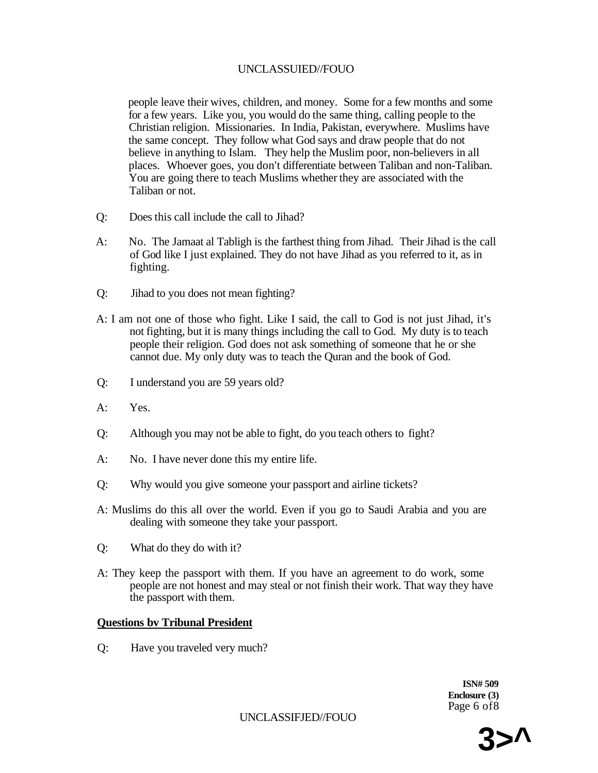people leave their wives, children, and money. Some for a few months and some for a few years. Like you, you would do the same thing, calling people to the Christian religion. Missionaries. In India, Pakistan, everywhere. Muslims have the same concept. They follow what God says and draw people that do not believe in anything to Islam. They help the Muslim poor, non-believers in all places. Whoever goes, you don't differentiate between Taliban and non-Taliban. You are going there to teach Muslims whether they are associated with the Taliban or not.

- Q: Does this call include the call to Jihad?
- A: No. The Jamaat al Tabligh is the farthest thing from Jihad. Their Jihad is the call of God like I just explained. They do not have Jihad as you referred to it, as in fighting.
- Q: Jihad to you does not mean fighting?
- A: I am not one of those who fight. Like I said, the call to God is not just Jihad, it's not fighting, but it is many things including the call to God. My duty is to teach people their religion. God does not ask something of someone that he or she cannot due. My only duty was to teach the Quran and the book of God.
- Q: I understand you are 59 years old?
- A: Yes.
- Q: Although you may not be able to fight, do you teach others to fight?
- A: No. I have never done this my entire life.
- Q: Why would you give someone your passport and airline tickets?
- A: Muslims do this all over the world. Even if you go to Saudi Arabia and you are dealing with someone they take your passport.
- Q: What do they do with it?
- A: They keep the passport with them. If you have an agreement to do work, some people are not honest and may steal or not finish their work. That way they have the passport with them.

## **Questions bv Tribunal President**

Q: Have you traveled very much?

**ISN# 509 Enclosure (3)**  Page 6 of8

UNCLASSIFJED//FOUO

**3>^**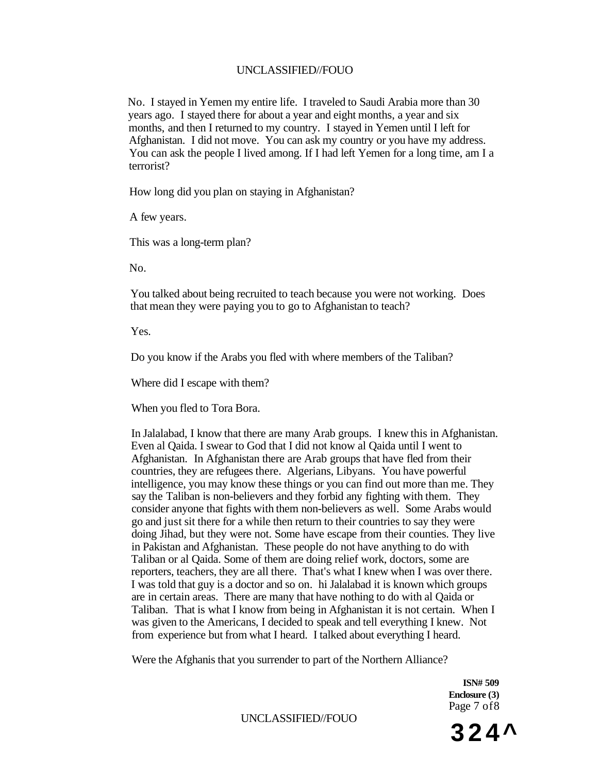No. I stayed in Yemen my entire life. I traveled to Saudi Arabia more than 30 years ago. I stayed there for about a year and eight months, a year and six months, and then I returned to my country. I stayed in Yemen until I left for Afghanistan. I did not move. You can ask my country or you have my address. You can ask the people I lived among. If I had left Yemen for a long time, am I a terrorist?

How long did you plan on staying in Afghanistan?

A few years.

This was a long-term plan?

No.

You talked about being recruited to teach because you were not working. Does that mean they were paying you to go to Afghanistan to teach?

Yes.

Do you know if the Arabs you fled with where members of the Taliban?

Where did I escape with them?

When you fled to Tora Bora.

In Jalalabad, I know that there are many Arab groups. I knew this in Afghanistan. Even al Qaida. I swear to God that I did not know al Qaida until I went to Afghanistan. In Afghanistan there are Arab groups that have fled from their countries, they are refugees there. Algerians, Libyans. You have powerful intelligence, you may know these things or you can find out more than me. They say the Taliban is non-believers and they forbid any fighting with them. They consider anyone that fights with them non-believers as well. Some Arabs would go and just sit there for a while then return to their countries to say they were doing Jihad, but they were not. Some have escape from their counties. They live in Pakistan and Afghanistan. These people do not have anything to do with Taliban or al Qaida. Some of them are doing relief work, doctors, some are reporters, teachers, they are all there. That's what I knew when I was over there. I was told that guy is a doctor and so on. hi Jalalabad it is known which groups are in certain areas. There are many that have nothing to do with al Qaida or Taliban. That is what I know from being in Afghanistan it is not certain. When I was given to the Americans, I decided to speak and tell everything I knew. Not from experience but from what I heard. I talked about everything I heard.

Were the Afghanis that you surrender to part of the Northern Alliance?

**ISN# 509 Enclosure (3)**  Page 7 of8

UNCLASSIFIED//FOUO

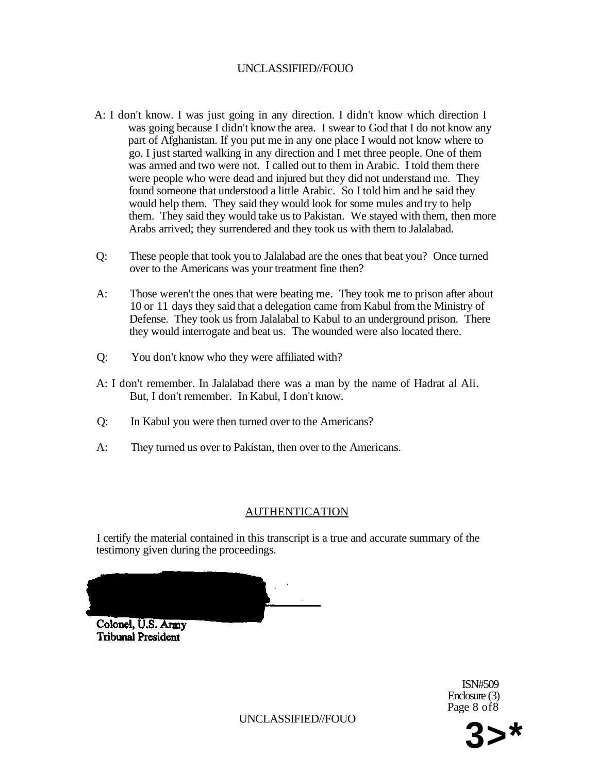- A: I don't know. I was just going in any direction. I didn't know which direction I was going because I didn't know the area. I swear to God that I do not know any part of Afghanistan. If you put me in any one place I would not know where to go. I just started walking in any direction and I met three people. One of them was armed and two were not. I called out to them in Arabic. I told them there were people who were dead and injured but they did not understand me. They found someone that understood a little Arabic. So I told him and he said they would help them. They said they would look for some mules and try to help them. They said they would take us to Pakistan. We stayed with them, then more Arabs arrived; they surrendered and they took us with them to Jalalabad.
- Q: These people that took you to Jalalabad are the ones that beat you? Once turned over to the Americans was your treatment fine then?
- A: Those weren't the ones that were beating me. They took me to prison after about 10 or 11 days they said that a delegation came from Kabul from the Ministry of Defense. They took us from Jalalabal to Kabul to an underground prison. There they would interrogate and beat us. The wounded were also located there.
- Q: You don't know who they were affiliated with?
- A: I don't remember. In Jalalabad there was a man by the name of Hadrat al Ali. But, I don't remember. In Kabul, I don't know.
- Q: In Kabul you were then turned over to the Americans?
- A: They turned us over to Pakistan, then over to the Americans.

## AUTHENTICATION

I certify the material contained in this transcript is a true and accurate summary of the testimony given during the proceedings.



**Tribunal President** 

ISN#509 Enclosure (3) Page 8 of8

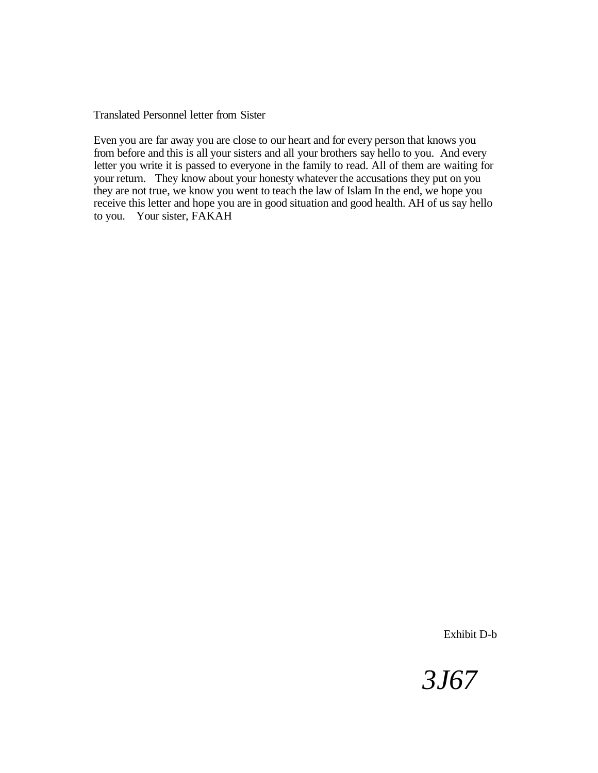Translated Personnel letter from Sister

Even you are far away you are close to our heart and for every person that knows you from before and this is all your sisters and all your brothers say hello to you. And every letter you write it is passed to everyone in the family to read. All of them are waiting for your return. They know about your honesty whatever the accusations they put on you they are not true, we know you went to teach the law of Islam In the end, we hope you receive this letter and hope you are in good situation and good health. AH of us say hello to you. Your sister, FAKAH

Exhibit D-b

# *3J67*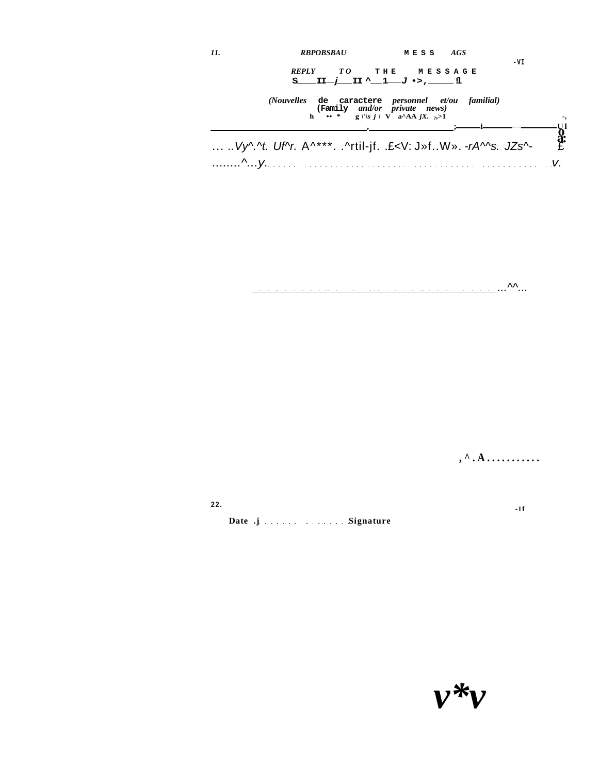| 11. | <i><b>RBPOBSBAU</b></i>                                                                                                                   | MESS AGS |               |
|-----|-------------------------------------------------------------------------------------------------------------------------------------------|----------|---------------|
|     |                                                                                                                                           |          | -VI           |
|     | REPLY $TO$ THE MESSAGE                                                                                                                    |          |               |
|     | s _____ II ______ II ^___ 1 ________ J ___________ _ 0                                                                                    |          |               |
|     | $(Nouvelles \t de \t caractere \t personnel \t et/ou \t family \t and/or \t private \t news)$<br>h •• * $g   \sqrt{s} j   V$ a^AA jX. 3>1 |          | ۰,            |
|     |                                                                                                                                           |          |               |
|     | Vy^.^t. Uf^r. A^***. .^rtil-jf. .£ <v: -ra^^s.="" jzs^-<="" j»f="" td="" w».=""><td></td><td><math>\frac{1}{2}</math></td></v:>           |          | $\frac{1}{2}$ |
|     |                                                                                                                                           |          |               |
|     |                                                                                                                                           |          |               |

 $, \wedge$  . A . . . . . . . . . . .

 $-If$ Date .j . . . . . . . . . . . . . . Signature

 $22.$ 

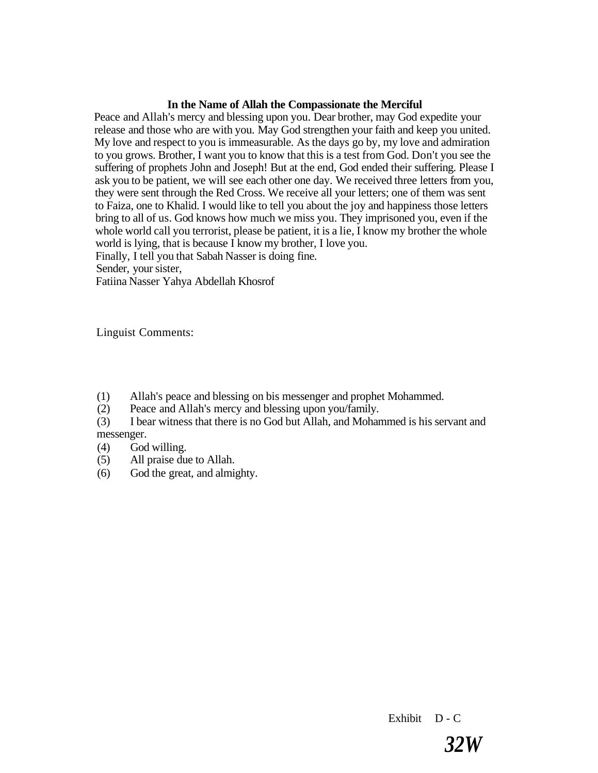#### **In the Name of Allah the Compassionate the Merciful**

Peace and Allah's mercy and blessing upon you. Dear brother, may God expedite your release and those who are with you. May God strengthen your faith and keep you united. My love and respect to you is immeasurable. As the days go by, my love and admiration to you grows. Brother, I want you to know that this is a test from God. Don't you see the suffering of prophets John and Joseph! But at the end, God ended their suffering. Please I ask you to be patient, we will see each other one day. We received three letters from you, they were sent through the Red Cross. We receive all your letters; one of them was sent to Faiza, one to Khalid. I would like to tell you about the joy and happiness those letters bring to all of us. God knows how much we miss you. They imprisoned you, even if the whole world call you terrorist, please be patient, it is a lie, I know my brother the whole world is lying, that is because I know my brother, I love you. Finally, I tell you that Sabah Nasser is doing fine.

Sender, your sister,

Fatiina Nasser Yahya Abdellah Khosrof

Linguist Comments:

- (1) Allah's peace and blessing on bis messenger and prophet Mohammed.
- (2) Peace and Allah's mercy and blessing upon you/family.
- (3) I bear witness that there is no God but Allah, and Mohammed is his servant and messenger.
- (4) God willing.
- (5) All praise due to Allah.
- (6) God the great, and almighty.

Exhibit D- C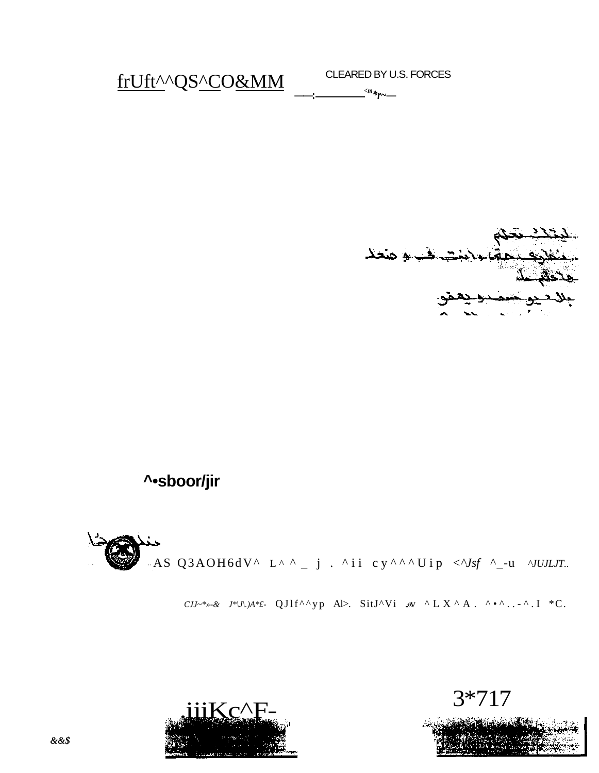



^.sboor/jir



 $\mathcal{C}JJ\sim^* \rightarrow -\& \quad J^*J\rightarrow A^*f$  -  $QJIf \wedge \wedge yp$  Al>. SitJ $\wedge Vi$  &  $\wedge L X \wedge A$ .  $\wedge \bullet \wedge ... \wedge I *C$ .



 $3*717$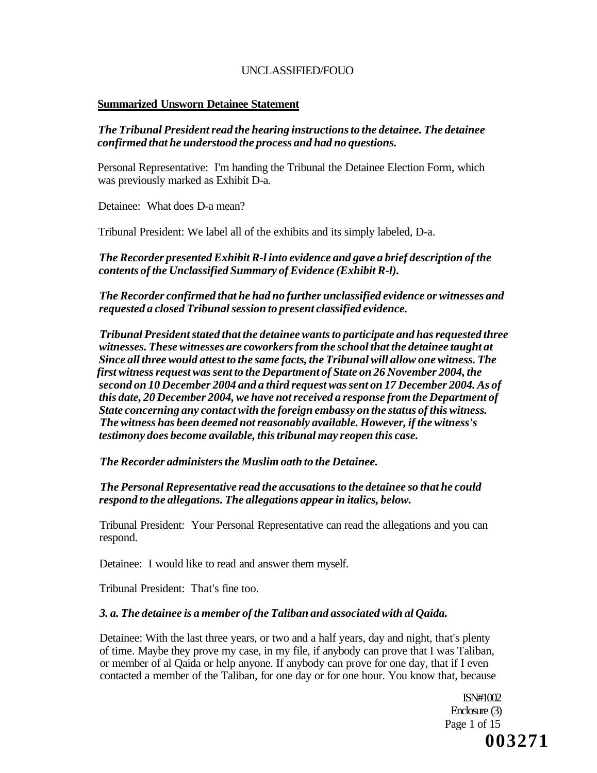## **Summarized Unsworn Detainee Statement**

## *The Tribunal President read the hearing instructions to the detainee. The detainee confirmed that he understood the process and had no questions.*

Personal Representative: I'm handing the Tribunal the Detainee Election Form, which was previously marked as Exhibit D-a.

Detainee: What does D-a mean?

Tribunal President: We label all of the exhibits and its simply labeled, D-a.

*The Recorder presented Exhibit R-l into evidence and gave a brief description of the contents of the Unclassified Summary of Evidence (Exhibit R-l).* 

*The Recorder confirmed that he had no further unclassified evidence or witnesses and requested a closed Tribunal session to present classified evidence.* 

*Tribunal President stated that the detainee wants to participate and has requested three witnesses. These witnesses are coworkers from the school that the detainee taught at Since all three would attest to the same facts, the Tribunal will allow one witness. The first witness request was sent to the Department of State on 26 November 2004, the second on 10 December 2004 and a third request was sent on 17 December 2004. As of this date, 20 December 2004, we have not received a response from the Department of State concerning any contact with the foreign embassy on the status of this witness. The witness has been deemed not reasonably available. However, if the witness's testimony does become available, this tribunal may reopen this case.* 

*The Recorder administers the Muslim oath to the Detainee.* 

*The Personal Representative read the accusations to the detainee so that he could respond to the allegations. The allegations appear in italics, below.* 

Tribunal President: Your Personal Representative can read the allegations and you can respond.

Detainee: I would like to read and answer them myself.

Tribunal President: That's fine too.

## *3. a. The detainee is a member of the Taliban and associated with al Qaida.*

Detainee: With the last three years, or two and a half years, day and night, that's plenty of time. Maybe they prove my case, in my file, if anybody can prove that I was Taliban, or member of al Qaida or help anyone. If anybody can prove for one day, that if I even contacted a member of the Taliban, for one day or for one hour. You know that, because

> ISN#1002 Enclosure (3) Page 1 of 15 **003271**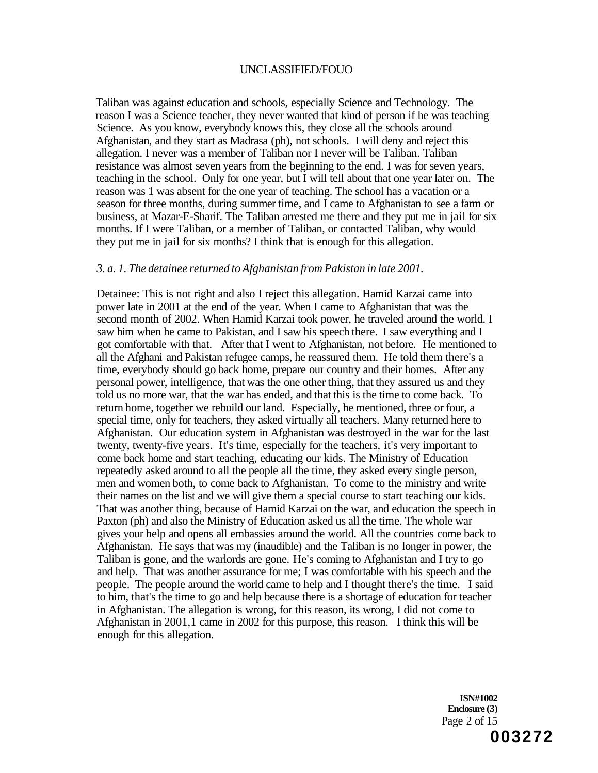Taliban was against education and schools, especially Science and Technology. The reason I was a Science teacher, they never wanted that kind of person if he was teaching Science. As you know, everybody knows this, they close all the schools around Afghanistan, and they start as Madrasa (ph), not schools. I will deny and reject this allegation. I never was a member of Taliban nor I never will be Taliban. Taliban resistance was almost seven years from the beginning to the end. I was for seven years, teaching in the school. Only for one year, but I will tell about that one year later on. The reason was 1 was absent for the one year of teaching. The school has a vacation or a season for three months, during summer time, and I came to Afghanistan to see a farm or business, at Mazar-E-Sharif. The Taliban arrested me there and they put me in jail for six months. If I were Taliban, or a member of Taliban, or contacted Taliban, why would they put me in jail for six months? I think that is enough for this allegation.

#### *3. a. 1. The detainee returned to Afghanistan from Pakistan in late 2001.*

Detainee: This is not right and also I reject this allegation. Hamid Karzai came into power late in 2001 at the end of the year. When I came to Afghanistan that was the second month of 2002. When Hamid Karzai took power, he traveled around the world. I saw him when he came to Pakistan, and I saw his speech there. I saw everything and I got comfortable with that. After that I went to Afghanistan, not before. He mentioned to all the Afghani and Pakistan refugee camps, he reassured them. He told them there's a time, everybody should go back home, prepare our country and their homes. After any personal power, intelligence, that was the one other thing, that they assured us and they told us no more war, that the war has ended, and that this is the time to come back. To return home, together we rebuild our land. Especially, he mentioned, three or four, a special time, only for teachers, they asked virtually all teachers. Many returned here to Afghanistan. Our education system in Afghanistan was destroyed in the war for the last twenty, twenty-five years. It's time, especially for the teachers, it's very important to come back home and start teaching, educating our kids. The Ministry of Education repeatedly asked around to all the people all the time, they asked every single person, men and women both, to come back to Afghanistan. To come to the ministry and write their names on the list and we will give them a special course to start teaching our kids. That was another thing, because of Hamid Karzai on the war, and education the speech in Paxton (ph) and also the Ministry of Education asked us all the time. The whole war gives your help and opens all embassies around the world. All the countries come back to Afghanistan. He says that was my (inaudible) and the Taliban is no longer in power, the Taliban is gone, and the warlords are gone. He's coming to Afghanistan and I try to go and help. That was another assurance for me; I was comfortable with his speech and the people. The people around the world came to help and I thought there's the time. I said to him, that's the time to go and help because there is a shortage of education for teacher in Afghanistan. The allegation is wrong, for this reason, its wrong, I did not come to Afghanistan in 2001,1 came in 2002 for this purpose, this reason. I think this will be enough for this allegation.

> **ISN#1002 Enclosure (3)**  Page 2 of 15 **003272**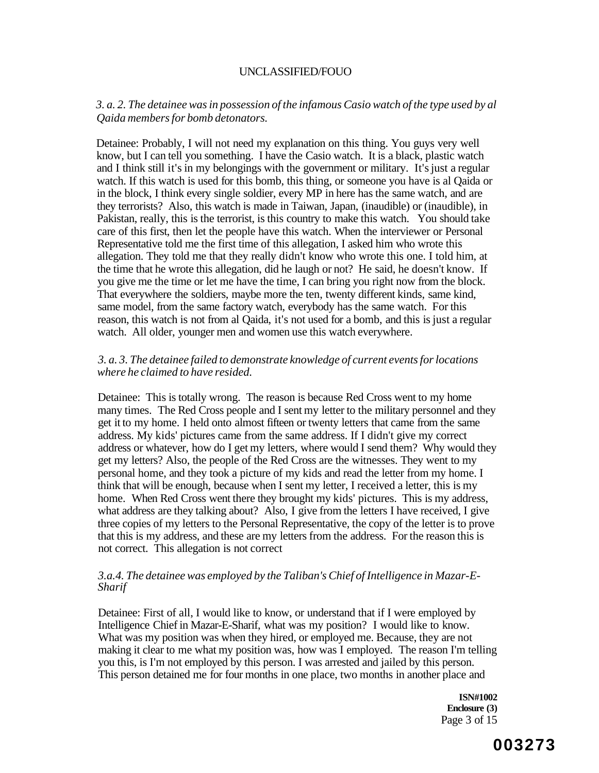#### *3. a. 2. The detainee was in possession of the infamous Casio watch of the type used by al Qaida members for bomb detonators.*

Detainee: Probably, I will not need my explanation on this thing. You guys very well know, but I can tell you something. I have the Casio watch. It is a black, plastic watch and I think still it's in my belongings with the government or military. It's just a regular watch. If this watch is used for this bomb, this thing, or someone you have is al Qaida or in the block, I think every single soldier, every MP in here has the same watch, and are they terrorists? Also, this watch is made in Taiwan, Japan, (inaudible) or (inaudible), in Pakistan, really, this is the terrorist, is this country to make this watch. You should take care of this first, then let the people have this watch. When the interviewer or Personal Representative told me the first time of this allegation, I asked him who wrote this allegation. They told me that they really didn't know who wrote this one. I told him, at the time that he wrote this allegation, did he laugh or not? He said, he doesn't know. If you give me the time or let me have the time, I can bring you right now from the block. That everywhere the soldiers, maybe more the ten, twenty different kinds, same kind, same model, from the same factory watch, everybody has the same watch. For this reason, this watch is not from al Qaida, it's not used for a bomb, and this is just a regular watch. All older, younger men and women use this watch everywhere.

#### *3. a. 3. The detainee failed to demonstrate knowledge of current events for locations where he claimed to have resided.*

Detainee: This is totally wrong. The reason is because Red Cross went to my home many times. The Red Cross people and I sent my letter to the military personnel and they get it to my home. I held onto almost fifteen or twenty letters that came from the same address. My kids' pictures came from the same address. If I didn't give my correct address or whatever, how do I get my letters, where would I send them? Why would they get my letters? Also, the people of the Red Cross are the witnesses. They went to my personal home, and they took a picture of my kids and read the letter from my home. I think that will be enough, because when I sent my letter, I received a letter, this is my home. When Red Cross went there they brought my kids' pictures. This is my address, what address are they talking about? Also, I give from the letters I have received, I give three copies of my letters to the Personal Representative, the copy of the letter is to prove that this is my address, and these are my letters from the address. For the reason this is not correct. This allegation is not correct

#### *3.a.4. The detainee was employed by the Taliban's Chief of Intelligence in Mazar-E-Sharif*

Detainee: First of all, I would like to know, or understand that if I were employed by Intelligence Chief in Mazar-E-Sharif, what was my position? I would like to know. What was my position was when they hired, or employed me. Because, they are not making it clear to me what my position was, how was I employed. The reason I'm telling you this, is I'm not employed by this person. I was arrested and jailed by this person. This person detained me for four months in one place, two months in another place and

> **ISN#1002 Enclosure (3)**  Page 3 of 15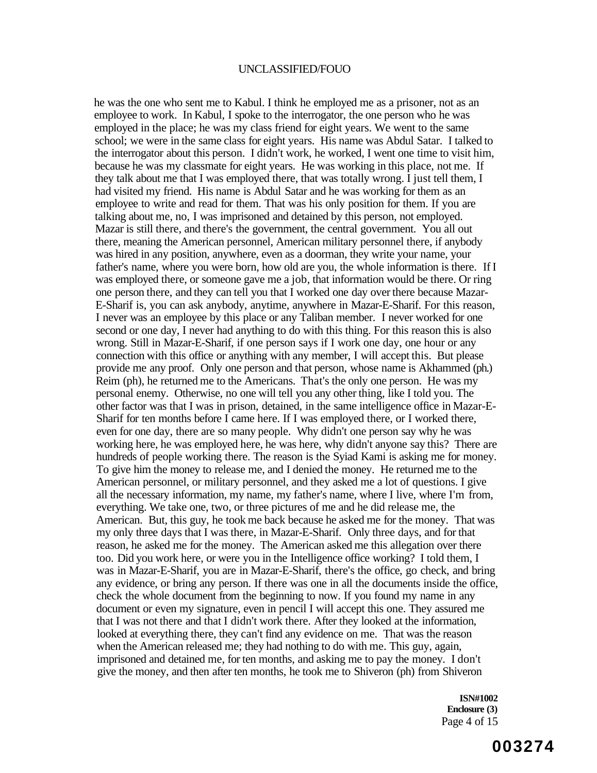he was the one who sent me to Kabul. I think he employed me as a prisoner, not as an employee to work. In Kabul, I spoke to the interrogator, the one person who he was employed in the place; he was my class friend for eight years. We went to the same school; we were in the same class for eight years. His name was Abdul Satar. I talked to the interrogator about this person. I didn't work, he worked, I went one time to visit him, because he was my classmate for eight years. He was working in this place, not me. If they talk about me that I was employed there, that was totally wrong. I just tell them, I had visited my friend. His name is Abdul Satar and he was working for them as an employee to write and read for them. That was his only position for them. If you are talking about me, no, I was imprisoned and detained by this person, not employed. Mazar is still there, and there's the government, the central government. You all out there, meaning the American personnel, American military personnel there, if anybody was hired in any position, anywhere, even as a doorman, they write your name, your father's name, where you were born, how old are you, the whole information is there. If I was employed there, or someone gave me a job, that information would be there. Or ring one person there, and they can tell you that I worked one day over there because Mazar-E-Sharif is, you can ask anybody, anytime, anywhere in Mazar-E-Sharif. For this reason, I never was an employee by this place or any Taliban member. I never worked for one second or one day, I never had anything to do with this thing. For this reason this is also wrong. Still in Mazar-E-Sharif, if one person says if I work one day, one hour or any connection with this office or anything with any member, I will accept this. But please provide me any proof. Only one person and that person, whose name is Akhammed (ph.) Reim (ph), he returned me to the Americans. That's the only one person. He was my personal enemy. Otherwise, no one will tell you any other thing, like I told you. The other factor was that I was in prison, detained, in the same intelligence office in Mazar-E-Sharif for ten months before I came here. If I was employed there, or I worked there, even for one day, there are so many people. Why didn't one person say why he was working here, he was employed here, he was here, why didn't anyone say this? There are hundreds of people working there. The reason is the Syiad Kami is asking me for money. To give him the money to release me, and I denied the money. He returned me to the American personnel, or military personnel, and they asked me a lot of questions. I give all the necessary information, my name, my father's name, where I live, where I'm from, everything. We take one, two, or three pictures of me and he did release me, the American. But, this guy, he took me back because he asked me for the money. That was my only three days that I was there, in Mazar-E-Sharif. Only three days, and for that reason, he asked me for the money. The American asked me this allegation over there too. Did you work here, or were you in the Intelligence office working? I told them, I was in Mazar-E-Sharif, you are in Mazar-E-Sharif, there's the office, go check, and bring any evidence, or bring any person. If there was one in all the documents inside the office, check the whole document from the beginning to now. If you found my name in any document or even my signature, even in pencil I will accept this one. They assured me that I was not there and that I didn't work there. After they looked at the information, looked at everything there, they can't find any evidence on me. That was the reason when the American released me; they had nothing to do with me. This guy, again, imprisoned and detained me, for ten months, and asking me to pay the money. I don't give the money, and then after ten months, he took me to Shiveron (ph) from Shiveron

> **ISN#1002 Enclosure (3)**  Page 4 of 15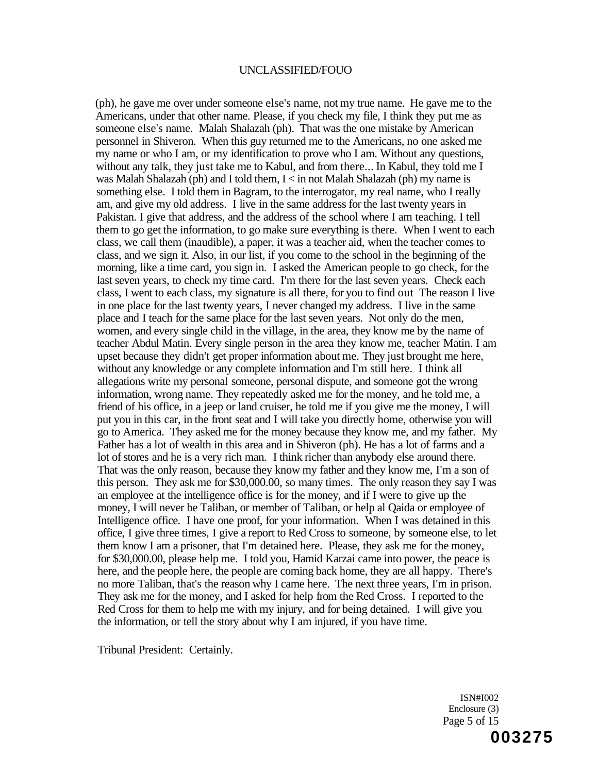(ph), he gave me over under someone else's name, not my true name. He gave me to the Americans, under that other name. Please, if you check my file, I think they put me as someone else's name. Malah Shalazah (ph). That was the one mistake by American personnel in Shiveron. When this guy returned me to the Americans, no one asked me my name or who I am, or my identification to prove who I am. Without any questions, without any talk, they just take me to Kabul, and from there... In Kabul, they told me I was Malah Shalazah (ph) and I told them, I < in not Malah Shalazah (ph) my name is something else. I told them in Bagram, to the interrogator, my real name, who I really am, and give my old address. I live in the same address for the last twenty years in Pakistan. I give that address, and the address of the school where I am teaching. I tell them to go get the information, to go make sure everything is there. When I went to each class, we call them (inaudible), a paper, it was a teacher aid, when the teacher comes to class, and we sign it. Also, in our list, if you come to the school in the beginning of the morning, like a time card, you sign in. I asked the American people to go check, for the last seven years, to check my time card. I'm there for the last seven years. Check each class, I went to each class, my signature is all there, for you to find out The reason I live in one place for the last twenty years, I never changed my address. I live in the same place and I teach for the same place for the last seven years. Not only do the men, women, and every single child in the village, in the area, they know me by the name of teacher Abdul Matin. Every single person in the area they know me, teacher Matin. I am upset because they didn't get proper information about me. They just brought me here, without any knowledge or any complete information and I'm still here. I think all allegations write my personal someone, personal dispute, and someone got the wrong information, wrong name. They repeatedly asked me for the money, and he told me, a friend of his office, in a jeep or land cruiser, he told me if you give me the money, I will put you in this car, in the front seat and I will take you directly home, otherwise you will go to America. They asked me for the money because they know me, and my father. My Father has a lot of wealth in this area and in Shiveron (ph). He has a lot of farms and a lot of stores and he is a very rich man. I think richer than anybody else around there. That was the only reason, because they know my father and they know me, I'm a son of this person. They ask me for \$30,000.00, so many times. The only reason they say I was an employee at the intelligence office is for the money, and if I were to give up the money, I will never be Taliban, or member of Taliban, or help al Qaida or employee of Intelligence office. I have one proof, for your information. When I was detained in this office, I give three times, I give a report to Red Cross to someone, by someone else, to let them know I am a prisoner, that I'm detained here. Please, they ask me for the money, for \$30,000.00, please help me. I told you, Hamid Karzai came into power, the peace is here, and the people here, the people are coming back home, they are all happy. There's no more Taliban, that's the reason why I came here. The next three years, I'm in prison. They ask me for the money, and I asked for help from the Red Cross. I reported to the Red Cross for them to help me with my injury, and for being detained. I will give you the information, or tell the story about why I am injured, if you have time.

Tribunal President: Certainly.

ISN#I002 Enclosure (3) Page 5 of 15 **003275**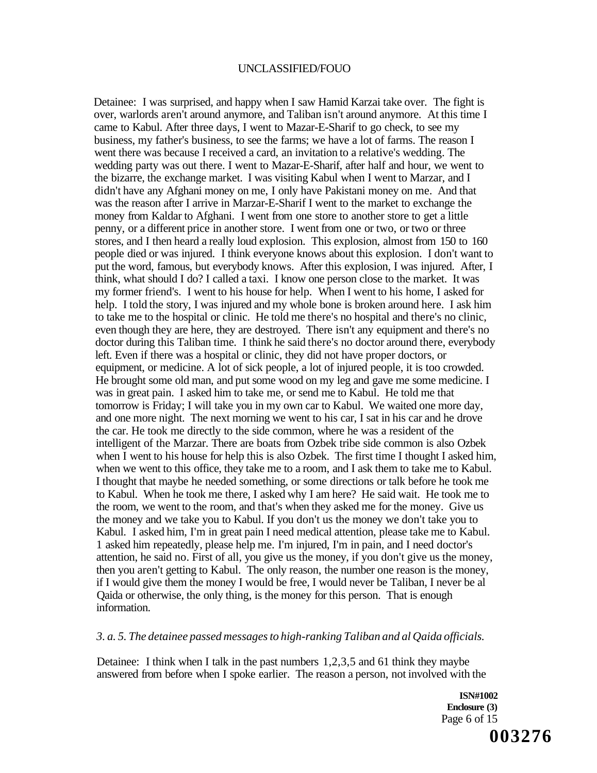Detainee: I was surprised, and happy when I saw Hamid Karzai take over. The fight is over, warlords aren't around anymore, and Taliban isn't around anymore. At this time I came to Kabul. After three days, I went to Mazar-E-Sharif to go check, to see my business, my father's business, to see the farms; we have a lot of farms. The reason I went there was because I received a card, an invitation to a relative's wedding. The wedding party was out there. I went to Mazar-E-Sharif, after half and hour, we went to the bizarre, the exchange market. I was visiting Kabul when I went to Marzar, and I didn't have any Afghani money on me, I only have Pakistani money on me. And that was the reason after I arrive in Marzar-E-Sharif I went to the market to exchange the money from Kaldar to Afghani. I went from one store to another store to get a little penny, or a different price in another store. I went from one or two, or two or three stores, and I then heard a really loud explosion. This explosion, almost from 150 to 160 people died or was injured. I think everyone knows about this explosion. I don't want to put the word, famous, but everybody knows. After this explosion, I was injured. After, I think, what should I do? I called a taxi. I know one person close to the market. It was my former friend's. I went to his house for help. When I went to his home, I asked for help. I told the story, I was injured and my whole bone is broken around here. I ask him to take me to the hospital or clinic. He told me there's no hospital and there's no clinic, even though they are here, they are destroyed. There isn't any equipment and there's no doctor during this Taliban time. I think he said there's no doctor around there, everybody left. Even if there was a hospital or clinic, they did not have proper doctors, or equipment, or medicine. A lot of sick people, a lot of injured people, it is too crowded. He brought some old man, and put some wood on my leg and gave me some medicine. I was in great pain. I asked him to take me, or send me to Kabul. He told me that tomorrow is Friday; I will take you in my own car to Kabul. We waited one more day, and one more night. The next morning we went to his car, I sat in his car and he drove the car. He took me directly to the side common, where he was a resident of the intelligent of the Marzar. There are boats from Ozbek tribe side common is also Ozbek when I went to his house for help this is also Ozbek. The first time I thought I asked him, when we went to this office, they take me to a room, and I ask them to take me to Kabul. I thought that maybe he needed something, or some directions or talk before he took me to Kabul. When he took me there, I asked why I am here? He said wait. He took me to the room, we went to the room, and that's when they asked me for the money. Give us the money and we take you to Kabul. If you don't us the money we don't take you to Kabul. I asked him, I'm in great pain I need medical attention, please take me to Kabul. 1 asked him repeatedly, please help me. I'm injured, I'm in pain, and I need doctor's attention, he said no. First of all, you give us the money, if you don't give us the money, then you aren't getting to Kabul. The only reason, the number one reason is the money, if I would give them the money I would be free, I would never be Taliban, I never be al Qaida or otherwise, the only thing, is the money for this person. That is enough information.

#### *3. a. 5. The detainee passed messages to high-ranking Taliban and al Qaida officials.*

Detainee: I think when I talk in the past numbers 1,2,3,5 and 61 think they maybe answered from before when I spoke earlier. The reason a person, not involved with the

> **ISN#1002 Enclosure (3)**  Page 6 of 15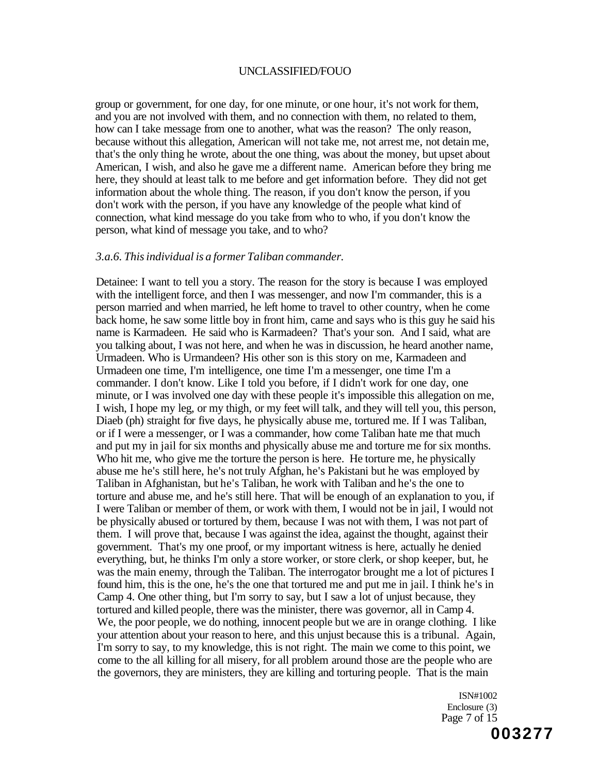group or government, for one day, for one minute, or one hour, it's not work for them, and you are not involved with them, and no connection with them, no related to them, how can I take message from one to another, what was the reason? The only reason, because without this allegation, American will not take me, not arrest me, not detain me, that's the only thing he wrote, about the one thing, was about the money, but upset about American, I wish, and also he gave me a different name. American before they bring me here, they should at least talk to me before and get information before. They did not get information about the whole thing. The reason, if you don't know the person, if you don't work with the person, if you have any knowledge of the people what kind of connection, what kind message do you take from who to who, if you don't know the person, what kind of message you take, and to who?

#### *3.a.6. This individual is a former Taliban commander.*

Detainee: I want to tell you a story. The reason for the story is because I was employed with the intelligent force, and then I was messenger, and now I'm commander, this is a person married and when married, he left home to travel to other country, when he come back home, he saw some little boy in front him, came and says who is this guy he said his name is Karmadeen. He said who is Karmadeen? That's your son. And I said, what are you talking about, I was not here, and when he was in discussion, he heard another name, Urmadeen. Who is Urmandeen? His other son is this story on me, Karmadeen and Urmadeen one time, I'm intelligence, one time I'm a messenger, one time I'm a commander. I don't know. Like I told you before, if I didn't work for one day, one minute, or I was involved one day with these people it's impossible this allegation on me, I wish, I hope my leg, or my thigh, or my feet will talk, and they will tell you, this person, Diaeb (ph) straight for five days, he physically abuse me, tortured me. If I was Taliban, or if I were a messenger, or I was a commander, how come Taliban hate me that much and put my in jail for six months and physically abuse me and torture me for six months. Who hit me, who give me the torture the person is here. He torture me, he physically abuse me he's still here, he's not truly Afghan, he's Pakistani but he was employed by Taliban in Afghanistan, but he's Taliban, he work with Taliban and he's the one to torture and abuse me, and he's still here. That will be enough of an explanation to you, if I were Taliban or member of them, or work with them, I would not be in jail, I would not be physically abused or tortured by them, because I was not with them, I was not part of them. I will prove that, because I was against the idea, against the thought, against their government. That's my one proof, or my important witness is here, actually he denied everything, but, he thinks I'm only a store worker, or store clerk, or shop keeper, but, he was the main enemy, through the Taliban. The interrogator brought me a lot of pictures I found him, this is the one, he's the one that tortured me and put me in jail. I think he's in Camp 4. One other thing, but I'm sorry to say, but I saw a lot of unjust because, they tortured and killed people, there was the minister, there was governor, all in Camp 4. We, the poor people, we do nothing, innocent people but we are in orange clothing. I like your attention about your reason to here, and this unjust because this is a tribunal. Again, I'm sorry to say, to my knowledge, this is not right. The main we come to this point, we come to the all killing for all misery, for all problem around those are the people who are the governors, they are ministers, they are killing and torturing people. That is the main

> ISN#1002 Enclosure (3) Page 7 of 15

## **003277**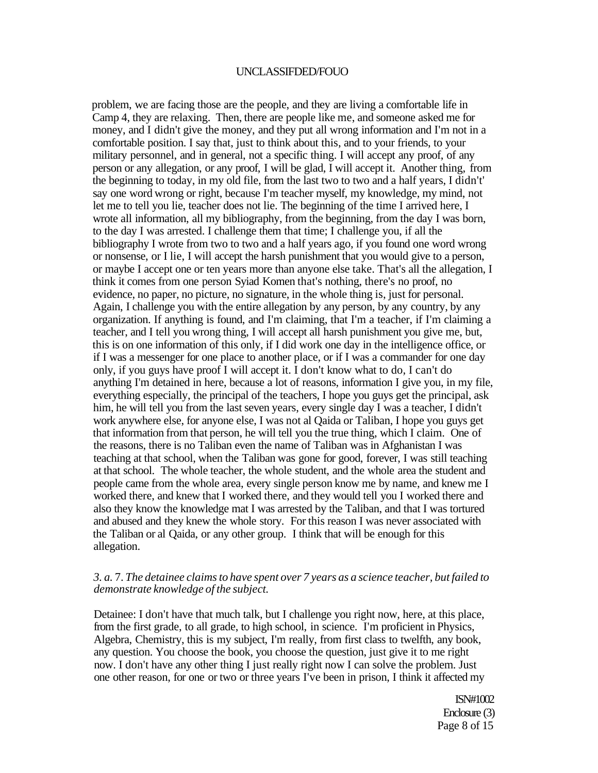problem, we are facing those are the people, and they are living a comfortable life in Camp 4, they are relaxing. Then, there are people like me, and someone asked me for money, and I didn't give the money, and they put all wrong information and I'm not in a comfortable position. I say that, just to think about this, and to your friends, to your military personnel, and in general, not a specific thing. I will accept any proof, of any person or any allegation, or any proof, I will be glad, I will accept it. Another thing, from the beginning to today, in my old file, from the last two to two and a half years, I didn't' say one word wrong or right, because I'm teacher myself, my knowledge, my mind, not let me to tell you lie, teacher does not lie. The beginning of the time I arrived here, I wrote all information, all my bibliography, from the beginning, from the day I was born, to the day I was arrested. I challenge them that time; I challenge you, if all the bibliography I wrote from two to two and a half years ago, if you found one word wrong or nonsense, or I lie, I will accept the harsh punishment that you would give to a person, or maybe I accept one or ten years more than anyone else take. That's all the allegation, I think it comes from one person Syiad Komen that's nothing, there's no proof, no evidence, no paper, no picture, no signature, in the whole thing is, just for personal. Again, I challenge you with the entire allegation by any person, by any country, by any organization. If anything is found, and I'm claiming, that I'm a teacher, if I'm claiming a teacher, and I tell you wrong thing, I will accept all harsh punishment you give me, but, this is on one information of this only, if I did work one day in the intelligence office, or if I was a messenger for one place to another place, or if I was a commander for one day only, if you guys have proof I will accept it. I don't know what to do, I can't do anything I'm detained in here, because a lot of reasons, information I give you, in my file, everything especially, the principal of the teachers, I hope you guys get the principal, ask him, he will tell you from the last seven years, every single day I was a teacher, I didn't work anywhere else, for anyone else, I was not al Qaida or Taliban, I hope you guys get that information from that person, he will tell you the true thing, which I claim. One of the reasons, there is no Taliban even the name of Taliban was in Afghanistan I was teaching at that school, when the Taliban was gone for good, forever, I was still teaching at that school. The whole teacher, the whole student, and the whole area the student and people came from the whole area, every single person know me by name, and knew me I worked there, and knew that I worked there, and they would tell you I worked there and also they know the knowledge mat I was arrested by the Taliban, and that I was tortured and abused and they knew the whole story. For this reason I was never associated with the Taliban or al Qaida, or any other group. I think that will be enough for this allegation.

#### *3. a.* 7. *The detainee claims to have spent over 7 years as a science teacher, but failed to demonstrate knowledge of the subject.*

Detainee: I don't have that much talk, but I challenge you right now, here, at this place, from the first grade, to all grade, to high school, in science. I'm proficient in Physics, Algebra, Chemistry, this is my subject, I'm really, from first class to twelfth, any book, any question. You choose the book, you choose the question, just give it to me right now. I don't have any other thing I just really right now I can solve the problem. Just one other reason, for one or two or three years I've been in prison, I think it affected my

> ISN#1002 Enclosure (3) Page 8 of 15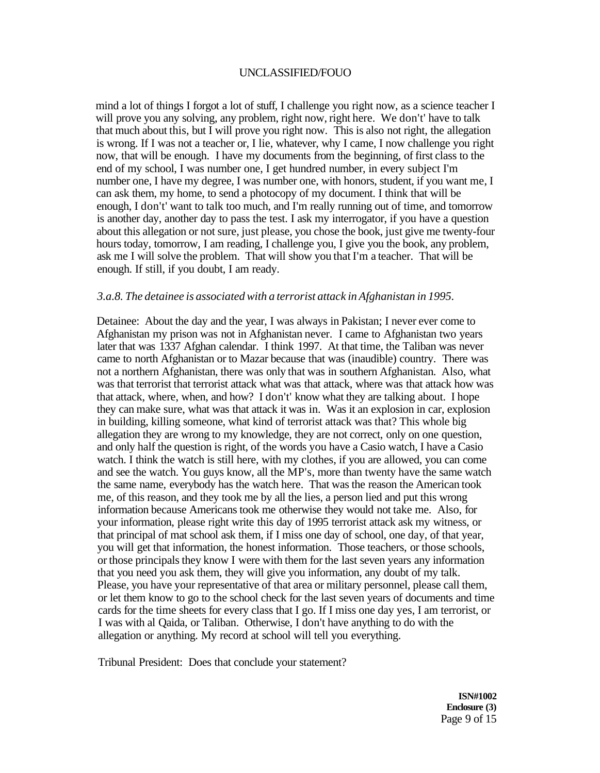mind a lot of things I forgot a lot of stuff, I challenge you right now, as a science teacher I will prove you any solving, any problem, right now, right here. We don't' have to talk that much about this, but I will prove you right now. This is also not right, the allegation is wrong. If I was not a teacher or, I lie, whatever, why I came, I now challenge you right now, that will be enough. I have my documents from the beginning, of first class to the end of my school, I was number one, I get hundred number, in every subject I'm number one, I have my degree, I was number one, with honors, student, if you want me, I can ask them, my home, to send a photocopy of my document. I think that will be enough, I don't' want to talk too much, and I'm really running out of time, and tomorrow is another day, another day to pass the test. I ask my interrogator, if you have a question about this allegation or not sure, just please, you chose the book, just give me twenty-four hours today, tomorrow, I am reading, I challenge you, I give you the book, any problem, ask me I will solve the problem. That will show you that I'm a teacher. That will be enough. If still, if you doubt, I am ready.

#### *3.a.8. The detainee is associated with a terrorist attack in Afghanistan in 1995.*

Detainee: About the day and the year, I was always in Pakistan; I never ever come to Afghanistan my prison was not in Afghanistan never. I came to Afghanistan two years later that was 1337 Afghan calendar. I think 1997. At that time, the Taliban was never came to north Afghanistan or to Mazar because that was (inaudible) country. There was not a northern Afghanistan, there was only that was in southern Afghanistan. Also, what was that terrorist that terrorist attack what was that attack, where was that attack how was that attack, where, when, and how? I don't' know what they are talking about. I hope they can make sure, what was that attack it was in. Was it an explosion in car, explosion in building, killing someone, what kind of terrorist attack was that? This whole big allegation they are wrong to my knowledge, they are not correct, only on one question, and only half the question is right, of the words you have a Casio watch, I have a Casio watch. I think the watch is still here, with my clothes, if you are allowed, you can come and see the watch. You guys know, all the MP's, more than twenty have the same watch the same name, everybody has the watch here. That was the reason the American took me, of this reason, and they took me by all the lies, a person lied and put this wrong information because Americans took me otherwise they would not take me. Also, for your information, please right write this day of 1995 terrorist attack ask my witness, or that principal of mat school ask them, if I miss one day of school, one day, of that year, you will get that information, the honest information. Those teachers, or those schools, or those principals they know I were with them for the last seven years any information that you need you ask them, they will give you information, any doubt of my talk. Please, you have your representative of that area or military personnel, please call them, or let them know to go to the school check for the last seven years of documents and time cards for the time sheets for every class that I go. If I miss one day yes, I am terrorist, or I was with al Qaida, or Taliban. Otherwise, I don't have anything to do with the allegation or anything. My record at school will tell you everything.

Tribunal President: Does that conclude your statement?

**ISN#1002 Enclosure (3)**  Page 9 of 15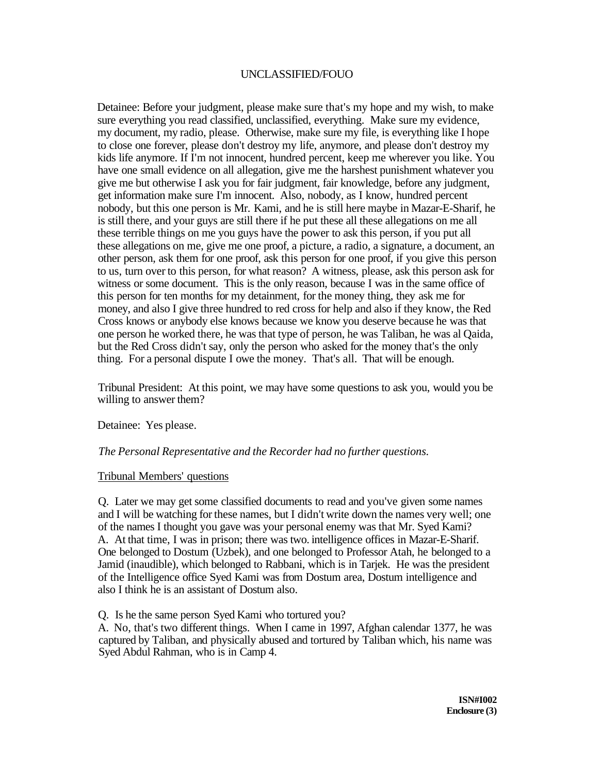Detainee: Before your judgment, please make sure that's my hope and my wish, to make sure everything you read classified, unclassified, everything. Make sure my evidence, my document, my radio, please. Otherwise, make sure my file, is everything like I hope to close one forever, please don't destroy my life, anymore, and please don't destroy my kids life anymore. If I'm not innocent, hundred percent, keep me wherever you like. You have one small evidence on all allegation, give me the harshest punishment whatever you give me but otherwise I ask you for fair judgment, fair knowledge, before any judgment, get information make sure I'm innocent. Also, nobody, as I know, hundred percent nobody, but this one person is Mr. Kami, and he is still here maybe in Mazar-E-Sharif, he is still there, and your guys are still there if he put these all these allegations on me all these terrible things on me you guys have the power to ask this person, if you put all these allegations on me, give me one proof, a picture, a radio, a signature, a document, an other person, ask them for one proof, ask this person for one proof, if you give this person to us, turn over to this person, for what reason? A witness, please, ask this person ask for witness or some document. This is the only reason, because I was in the same office of this person for ten months for my detainment, for the money thing, they ask me for money, and also I give three hundred to red cross for help and also if they know, the Red Cross knows or anybody else knows because we know you deserve because he was that one person he worked there, he was that type of person, he was Taliban, he was al Qaida, but the Red Cross didn't say, only the person who asked for the money that's the only thing. For a personal dispute I owe the money. That's all. That will be enough.

Tribunal President: At this point, we may have some questions to ask you, would you be willing to answer them?

Detainee: Yes please.

#### *The Personal Representative and the Recorder had no further questions.*

#### Tribunal Members' questions

Q. Later we may get some classified documents to read and you've given some names and I will be watching for these names, but I didn't write down the names very well; one of the names I thought you gave was your personal enemy was that Mr. Syed Kami? A. At that time, I was in prison; there was two. intelligence offices in Mazar-E-Sharif. One belonged to Dostum (Uzbek), and one belonged to Professor Atah, he belonged to a Jamid (inaudible), which belonged to Rabbani, which is in Tarjek. He was the president of the Intelligence office Syed Kami was from Dostum area, Dostum intelligence and also I think he is an assistant of Dostum also.

Q. Is he the same person Syed Kami who tortured you?

A. No, that's two different things. When I came in 1997, Afghan calendar 1377, he was captured by Taliban, and physically abused and tortured by Taliban which, his name was Syed Abdul Rahman, who is in Camp 4.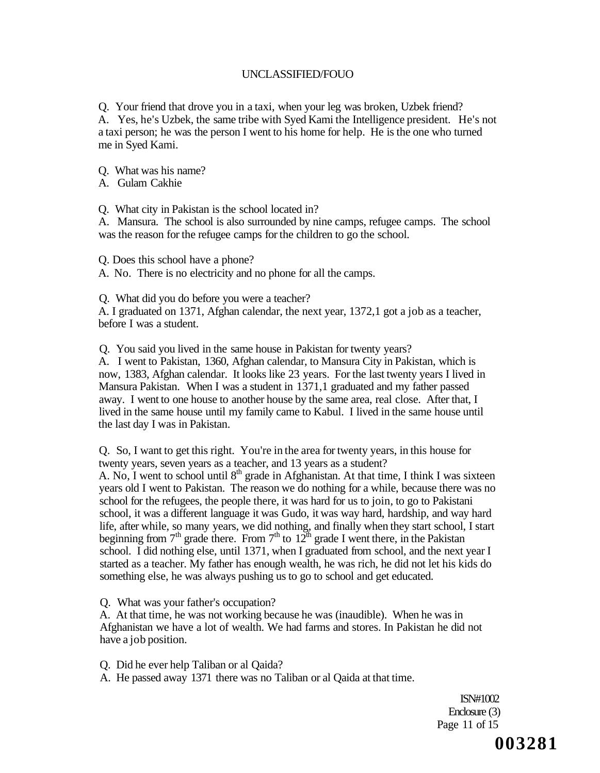Q. Your friend that drove you in a taxi, when your leg was broken, Uzbek friend? A. Yes, he's Uzbek, the same tribe with Syed Kami the Intelligence president. He's not a taxi person; he was the person I went to his home for help. He is the one who turned me in Syed Kami.

Q. What was his name?

A. Gulam Cakhie

Q. What city in Pakistan is the school located in?

A. Mansura. The school is also surrounded by nine camps, refugee camps. The school was the reason for the refugee camps for the children to go the school.

Q. Does this school have a phone?

A. No. There is no electricity and no phone for all the camps.

Q. What did you do before you were a teacher?

A. I graduated on 1371, Afghan calendar, the next year, 1372,1 got a job as a teacher, before I was a student.

Q. You said you lived in the same house in Pakistan for twenty years?

A. I went to Pakistan, 1360, Afghan calendar, to Mansura City in Pakistan, which is now, 1383, Afghan calendar. It looks like 23 years. For the last twenty years I lived in Mansura Pakistan. When I was a student in 1371,1 graduated and my father passed away. I went to one house to another house by the same area, real close. After that, I lived in the same house until my family came to Kabul. I lived in the same house until the last day I was in Pakistan.

Q. So, I want to get this right. You're in the area for twenty years, in this house for twenty years, seven years as a teacher, and 13 years as a student?

A. No, I went to school until  $8<sup>th</sup>$  grade in Afghanistan. At that time, I think I was sixteen years old I went to Pakistan. The reason we do nothing for a while, because there was no school for the refugees, the people there, it was hard for us to join, to go to Pakistani school, it was a different language it was Gudo, it was way hard, hardship, and way hard life, after while, so many years, we did nothing, and finally when they start school, I start beginning from  $7<sup>th</sup>$  grade there. From  $7<sup>th</sup>$  to  $12<sup>th</sup>$  grade I went there, in the Pakistan school. I did nothing else, until 1371, when I graduated from school, and the next year I started as a teacher. My father has enough wealth, he was rich, he did not let his kids do something else, he was always pushing us to go to school and get educated.

Q. What was your father's occupation?

A. At that time, he was not working because he was (inaudible). When he was in Afghanistan we have a lot of wealth. We had farms and stores. In Pakistan he did not have a job position.

Q. Did he ever help Taliban or al Qaida?

A. He passed away 1371 there was no Taliban or al Qaida at that time.

ISN#1002 Enclosure (3) Page 11 of 15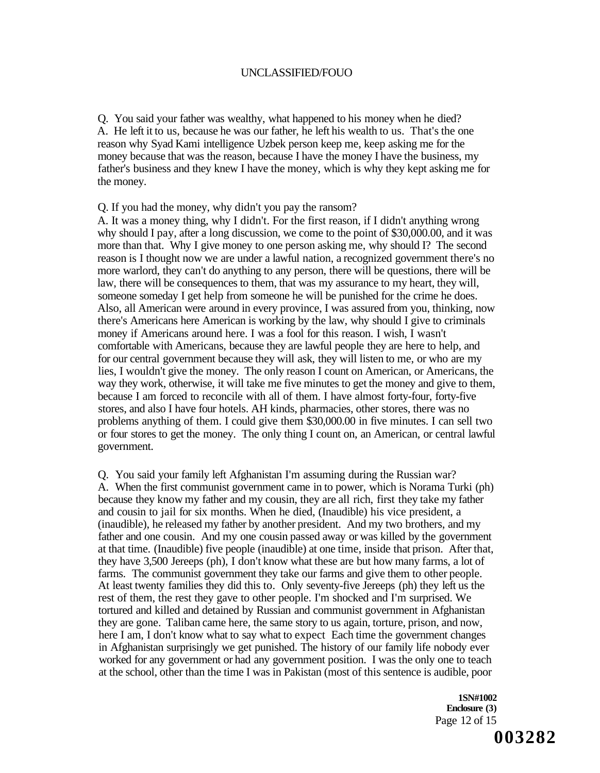Q. You said your father was wealthy, what happened to his money when he died? A. He left it to us, because he was our father, he left his wealth to us. That's the one reason why Syad Kami intelligence Uzbek person keep me, keep asking me for the money because that was the reason, because I have the money I have the business, my father's business and they knew I have the money, which is why they kept asking me for the money.

Q. If you had the money, why didn't you pay the ransom?

A. It was a money thing, why I didn't. For the first reason, if I didn't anything wrong why should I pay, after a long discussion, we come to the point of \$30,000.00, and it was more than that. Why I give money to one person asking me, why should I? The second reason is I thought now we are under a lawful nation, a recognized government there's no more warlord, they can't do anything to any person, there will be questions, there will be law, there will be consequences to them, that was my assurance to my heart, they will, someone someday I get help from someone he will be punished for the crime he does. Also, all American were around in every province, I was assured from you, thinking, now there's Americans here American is working by the law, why should I give to criminals money if Americans around here. I was a fool for this reason. I wish, I wasn't comfortable with Americans, because they are lawful people they are here to help, and for our central government because they will ask, they will listen to me, or who are my lies, I wouldn't give the money. The only reason I count on American, or Americans, the way they work, otherwise, it will take me five minutes to get the money and give to them, because I am forced to reconcile with all of them. I have almost forty-four, forty-five stores, and also I have four hotels. AH kinds, pharmacies, other stores, there was no problems anything of them. I could give them \$30,000.00 in five minutes. I can sell two or four stores to get the money. The only thing I count on, an American, or central lawful government.

Q. You said your family left Afghanistan I'm assuming during the Russian war? A. When the first communist government came in to power, which is Norama Turki (ph) because they know my father and my cousin, they are all rich, first they take my father and cousin to jail for six months. When he died, (Inaudible) his vice president, a (inaudible), he released my father by another president. And my two brothers, and my father and one cousin. And my one cousin passed away or was killed by the government at that time. (Inaudible) five people (inaudible) at one time, inside that prison. After that, they have 3,500 Jereeps (ph), I don't know what these are but how many farms, a lot of farms. The communist government they take our farms and give them to other people. At least twenty families they did this to. Only seventy-five Jereeps (ph) they left us the rest of them, the rest they gave to other people. I'm shocked and I'm surprised. We tortured and killed and detained by Russian and communist government in Afghanistan they are gone. Taliban came here, the same story to us again, torture, prison, and now, here I am, I don't know what to say what to expect Each time the government changes in Afghanistan surprisingly we get punished. The history of our family life nobody ever worked for any government or had any government position. I was the only one to teach at the school, other than the time I was in Pakistan (most of this sentence is audible, poor

> **1SN#1002 Enclosure (3)**  Page 12 of 15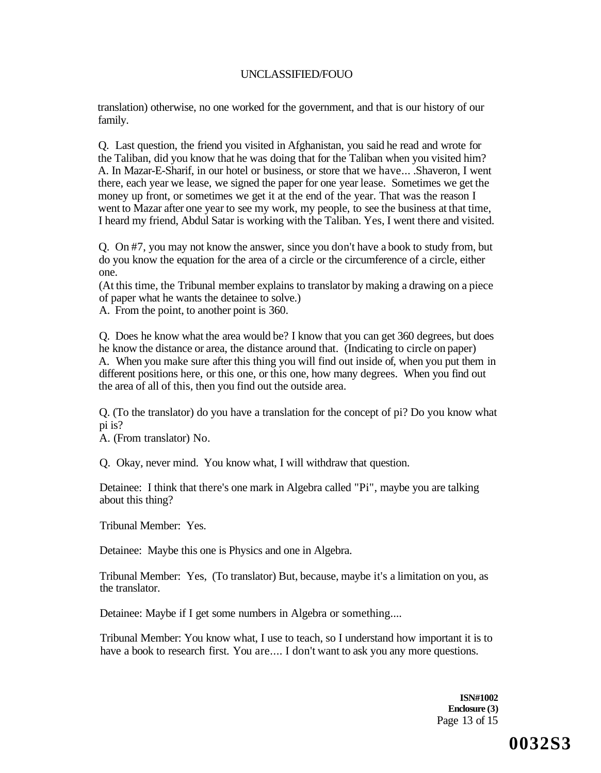translation) otherwise, no one worked for the government, and that is our history of our family.

Q. Last question, the friend you visited in Afghanistan, you said he read and wrote for the Taliban, did you know that he was doing that for the Taliban when you visited him? A. In Mazar-E-Sharif, in our hotel or business, or store that we have... .Shaveron, I went there, each year we lease, we signed the paper for one year lease. Sometimes we get the money up front, or sometimes we get it at the end of the year. That was the reason I went to Mazar after one year to see my work, my people, to see the business at that time, I heard my friend, Abdul Satar is working with the Taliban. Yes, I went there and visited.

Q. On #7, you may not know the answer, since you don't have a book to study from, but do you know the equation for the area of a circle or the circumference of a circle, either one.

(At this time, the Tribunal member explains to translator by making a drawing on a piece of paper what he wants the detainee to solve.)

A. From the point, to another point is 360.

Q. Does he know what the area would be? I know that you can get 360 degrees, but does he know the distance or area, the distance around that. (Indicating to circle on paper) A. When you make sure after this thing you will find out inside of, when you put them in different positions here, or this one, or this one, how many degrees. When you find out the area of all of this, then you find out the outside area.

Q. (To the translator) do you have a translation for the concept of pi? Do you know what pi is?

A. (From translator) No.

Q. Okay, never mind. You know what, I will withdraw that question.

Detainee: I think that there's one mark in Algebra called "Pi", maybe you are talking about this thing?

Tribunal Member: Yes.

Detainee: Maybe this one is Physics and one in Algebra.

Tribunal Member: Yes, (To translator) But, because, maybe it's a limitation on you, as the translator.

Detainee: Maybe if I get some numbers in Algebra or something....

Tribunal Member: You know what, I use to teach, so I understand how important it is to have a book to research first. You are.... I don't want to ask you any more questions.

> **ISN#1002 Enclosure (3)**  Page 13 of 15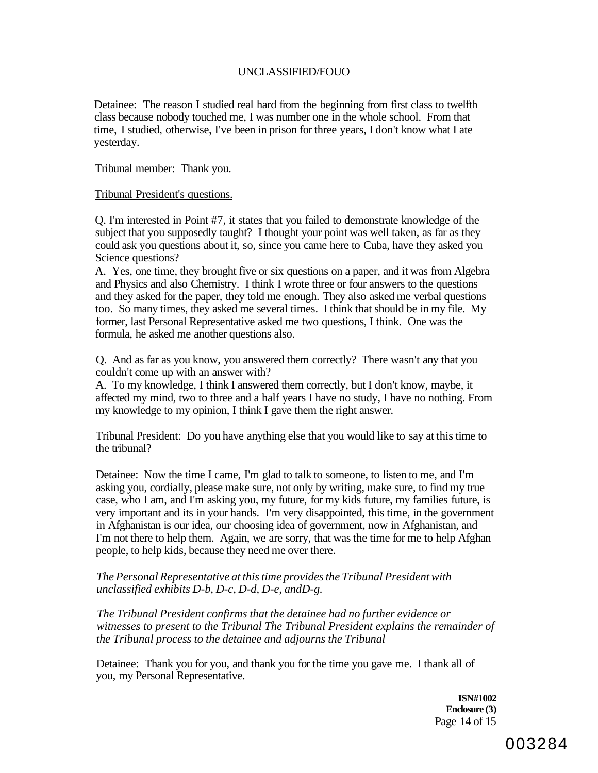Detainee: The reason I studied real hard from the beginning from first class to twelfth class because nobody touched me, I was number one in the whole school. From that time, I studied, otherwise, I've been in prison for three years, I don't know what I ate yesterday.

Tribunal member: Thank you.

#### Tribunal President's questions.

Q. I'm interested in Point #7, it states that you failed to demonstrate knowledge of the subject that you supposedly taught? I thought your point was well taken, as far as they could ask you questions about it, so, since you came here to Cuba, have they asked you Science questions?

A. Yes, one time, they brought five or six questions on a paper, and it was from Algebra and Physics and also Chemistry. I think I wrote three or four answers to the questions and they asked for the paper, they told me enough. They also asked me verbal questions too. So many times, they asked me several times. I think that should be in my file. My former, last Personal Representative asked me two questions, I think. One was the formula, he asked me another questions also.

Q. And as far as you know, you answered them correctly? There wasn't any that you couldn't come up with an answer with?

A. To my knowledge, I think I answered them correctly, but I don't know, maybe, it affected my mind, two to three and a half years I have no study, I have no nothing. From my knowledge to my opinion, I think I gave them the right answer.

Tribunal President: Do you have anything else that you would like to say at this time to the tribunal?

Detainee: Now the time I came, I'm glad to talk to someone, to listen to me, and I'm asking you, cordially, please make sure, not only by writing, make sure, to find my true case, who I am, and I'm asking you, my future, for my kids future, my families future, is very important and its in your hands. I'm very disappointed, this time, in the government in Afghanistan is our idea, our choosing idea of government, now in Afghanistan, and I'm not there to help them. Again, we are sorry, that was the time for me to help Afghan people, to help kids, because they need me over there.

#### *The Personal Representative at this time provides the Tribunal President with unclassified exhibits D-b, D-c, D-d, D-e, andD-g.*

*The Tribunal President confirms that the detainee had no further evidence or witnesses to present to the Tribunal The Tribunal President explains the remainder of the Tribunal process to the detainee and adjourns the Tribunal* 

Detainee: Thank you for you, and thank you for the time you gave me. I thank all of you, my Personal Representative.

> **ISN#1002 Enclosure (3)**  Page 14 of 15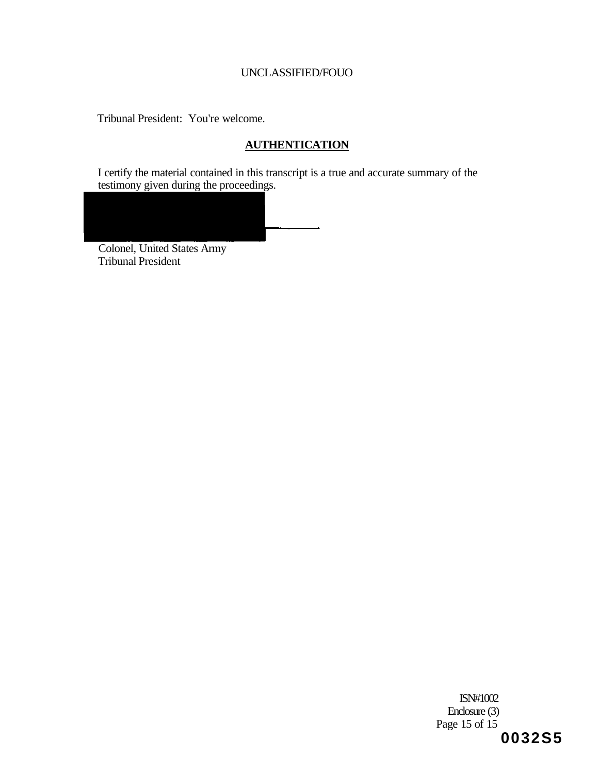Tribunal President: You're welcome.

## **AUTHENTICATION**

I certify the material contained in this transcript is a true and accurate summary of the testimony given during the proceedings.

Colonel, United States Army Tribunal President

> ISN#1002 Enclosure (3) Page 15 of 15 **0032S5**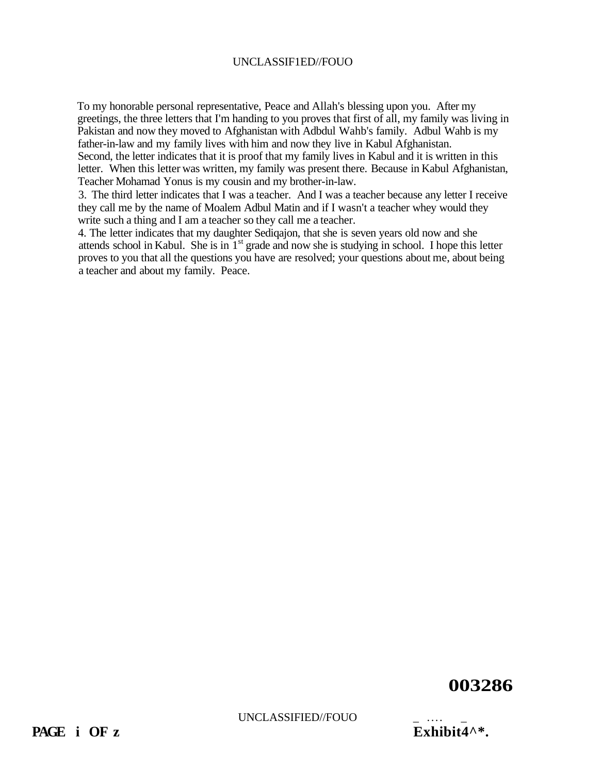To my honorable personal representative, Peace and Allah's blessing upon you. After my greetings, the three letters that I'm handing to you proves that first of all, my family was living in Pakistan and now they moved to Afghanistan with Adbdul Wahb's family. Adbul Wahb is my father-in-law and my family lives with him and now they live in Kabul Afghanistan. Second, the letter indicates that it is proof that my family lives in Kabul and it is written in this letter. When this letter was written, my family was present there. Because in Kabul Afghanistan, Teacher Mohamad Yonus is my cousin and my brother-in-law.

3. The third letter indicates that I was a teacher. And I was a teacher because any letter I receive they call me by the name of Moalem Adbul Matin and if I wasn't a teacher whey would they write such a thing and I am a teacher so they call me a teacher.

4. The letter indicates that my daughter Sediqajon, that she is seven years old now and she attends school in Kabul. She is in  $1<sup>st</sup>$  grade and now she is studying in school. I hope this letter proves to you that all the questions you have are resolved; your questions about me, about being a teacher and about my family. Peace.

## **003286**

UNCLASSIFIED//FOUO \_ .... \_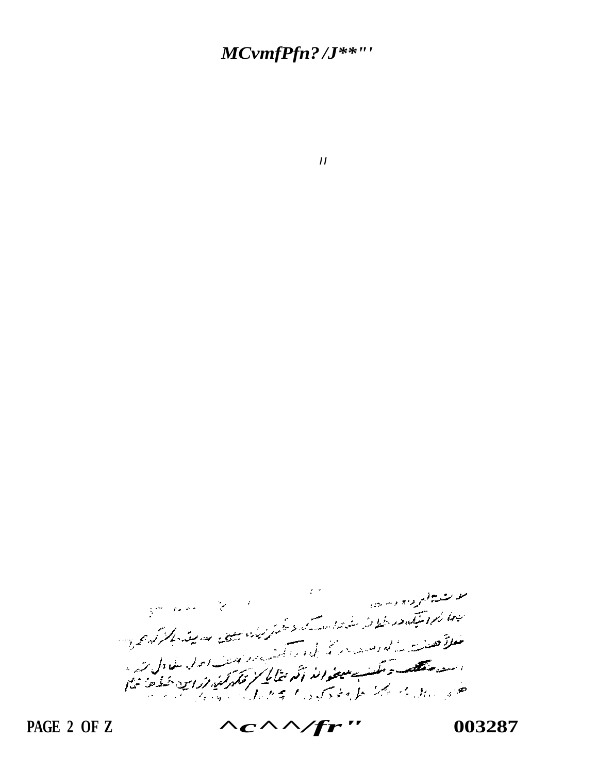# MCvmfPfn?/J\*\*'''

 $\boldsymbol{\mathcal{H}}$ 

موسسة تعمده بودر وسعة المستخدم المستخدم المراكبة المستخدم المراكبة المستخدم المراكبة المراكبة المراكبة المراكبة<br>مستخدم المستخدم المدار المستخدم والمدار المراكبة المراكبة المراكبة المراكبة المراكبة المراكبة المراكبة المراك



 $\Lambda_c \Lambda \Lambda / fr$ ''

003287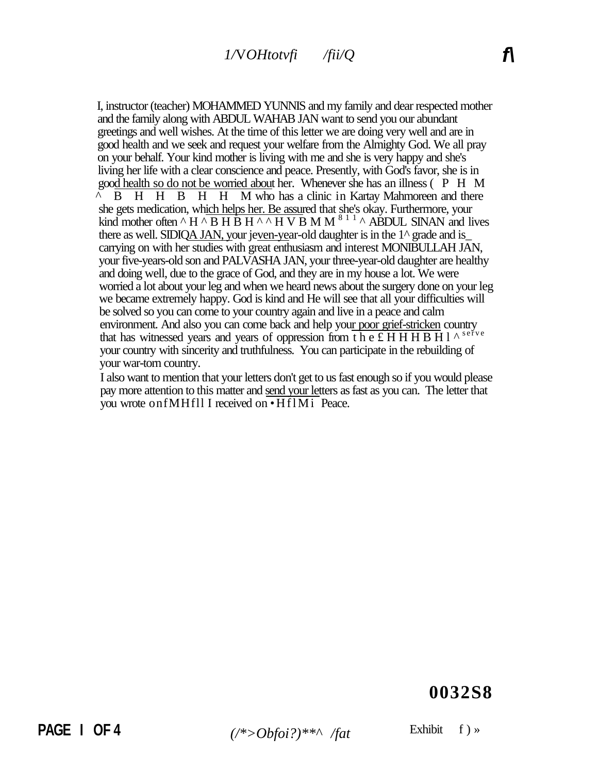I, instructor (teacher) MOHAMMED YUNNIS and my family and dear respected mother and the family along with ABDUL WAHAB JAN want to send you our abundant greetings and well wishes. At the time of this letter we are doing very well and are in good health and we seek and request your welfare from the Almighty God. We all pray on your behalf. Your kind mother is living with me and she is very happy and she's living her life with a clear conscience and peace. Presently, with God's favor, she is in goo<u>d health so do not be worried about</u> her. Whenever she has an illness  $(PHM \nA \nB \nH \nH \nB \nH \nM \nwho has a *clinic* in Kartav Mahnoreen and there$ ^BHHBHH M who has a clinic in Kartay Mahmoreen and there she gets medication, which helps her. Be assured that she's okay. Furthermore, your kind mother often  $\wedge$  H  $\wedge$  B H B H  $\wedge \wedge$  H V B M M  $8^{11}$   $\wedge$  ABDUL SINAN and lives there as well. SIDIQA JAN, your jeven-year-old daughter is in the 1^ grade and is\_ carrying on with her studies with great enthusiasm and interest MONIBULLAH JAN, your five-years-old son and PALVASHA JAN, your three-year-old daughter are healthy and doing well, due to the grace of God, and they are in my house a lot. We were worried a lot about your leg and when we heard news about the surgery done on your leg we became extremely happy. God is kind and He will see that all your difficulties will be solved so you can come to your country again and live in a peace and calm environment. And also you can come back and help your poor grief-stricken country that has witnessed years and years of oppression from the  $E$ HHHBH l  $^{\circ}$  server your country with sincerity and truthfulness. You can participate in the rebuilding of your war-torn country.

I also want to mention that your letters don't get to us fast enough so if you would please pay more attention to this matter and send your letters as fast as you can. The letter that you wrote onfMHfll I received on •HflMi Peace.

# **0032S8**

**PAGE I OF 4** *(/\*>Obfoi?)\*\*^ /fat* Exhibit f) »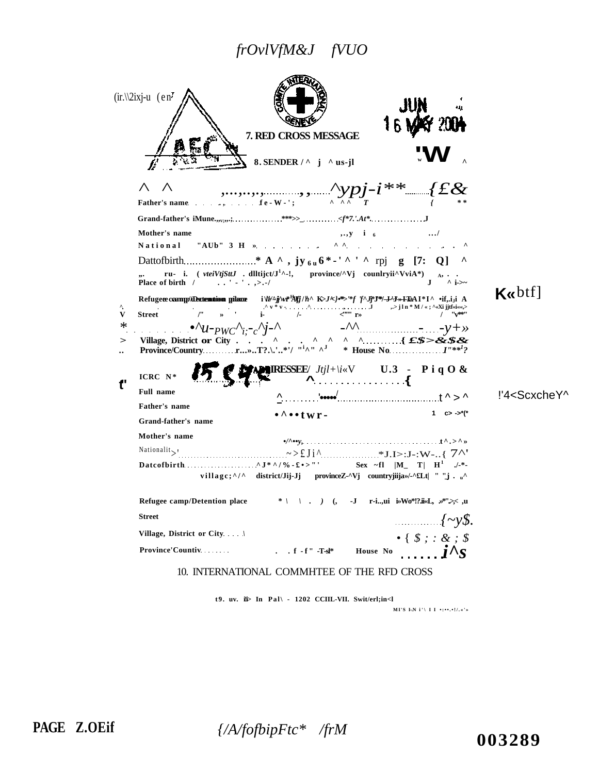|                  | $\lim_{x \to 0}$ (en <sup>7</sup><br>7. RED CROSS MESSAGE<br>8. SENDER $/$ $\land$ j $\land$ us-jl  |                                     |
|------------------|-----------------------------------------------------------------------------------------------------|-------------------------------------|
| V<br>∗<br>⋗<br>ť | $N$ M<br>Father's name.                                                                             |                                     |
|                  | Mother's name<br>$, ., y$ i <sub>6</sub><br>" $AUb$ " 3 H » $\ldots$ $\wedge$ $\wedge$<br>National  |                                     |
|                  |                                                                                                     | $K$ « btf]                          |
|                  | <b>EXAMPLIRESSEE</b> $Jtjl+\lambda i\ll V$ U.3 Piq O &<br>ICRC N*<br><b>Full name</b>               | l'4 <scxchey^!< th=""></scxchey^!<> |
|                  | Father's name<br>1 $c > -x^*$ (*<br>$\bullet \wedge \bullet \bullet$ f w r -<br>Grand-father's name |                                     |
|                  | Mother's name<br>villagc; ^/^ district/Jij-Jj provinceZ-^Vj countryjiija»/-^£Lt  " "j. u^           |                                     |
|                  | Refugee camp/Detention place $* \mid \cdot \cdot \cdot$ (, -J r-i,ui i>Wo*!?.ii«L, >*'>< ,u         |                                     |
|                  | <b>Street</b><br>$\cdots$ $\left\{\sim y\right\}.$                                                  |                                     |
|                  | Village, District or City<br>$\bullet$ { $\$$ ; : & ; \$                                            |                                     |
|                  | $\cdots$ $i^{\wedge}s$<br>Province'Countiv<br>House No<br>$\cdot$ $\cdot$ f $\cdot$ f" $\cdot$ Tsl* |                                     |
|                  | 10. INTERNATIONAL COMMHTEE OF THE RFD CROSS                                                         |                                     |

t9. uv. ib In Pal\ - 1202 CCIIL-VII. Swit/erl;in<l

MI'S I-N i'\ I I  $\cdot$ : $\cdot\cdot\cdot$ !/.«'»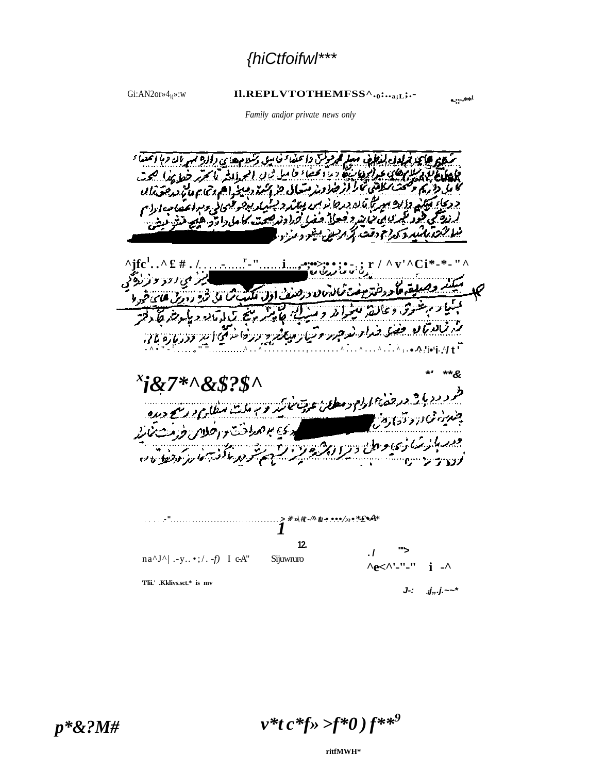# {hiCtfoifwl\*\*\*

Gi:AN2or» $4_{1}$ (»:w

#### Il.REPLVTOTHEMFSS^.<sub>0</sub>:..<sub>a:L</sub>;.-

ليعجب

Family andjor private news only

شقای کانکار انجامی سو فرونز داعشاء نه بی دکنومهای داده می دن داعشاء<br>کانکار در کانکار کانکار از این داعشاء ما بران الریابی با کار شوندان همت<br>کانک در کانکار کانکار از این در این بعث دنبال به ویسی از جهانهای در اعضای از<br>دویک جد سکند وصلعة کاردخ<del>زید</del>ی کلاه و در منف اول ککستان کار و در دو در ده می<br>جهت مسئول و علایم میتواند و در این ماییز میتوان ککستان کار و در در های تو دا<br>جنیا و به غوش و علایم میتواند و در این ماییز میتوان اسده را رخد کاره الكاميس يتغ تباله تلاده وبإيد بتأرفتر مز مالدتمان فضا طرار شرجرر وتيار بيكتر ورد المركي المر ودربارة بالا  $\wedge \ldots \wedge$   $\ldots \wedge$  ,  $\bullet \wedge$  ,  $\mathsf{j} \bullet \mathsf{k}$  .  $\wedge$  (  $\mathsf{t}$ \*\* \*\*&  $x_{i}$ &7\*^&\$?\$^ طرور باز در حضار امروسطی عرض می کرد و بات مطلبی در محدرده المريك زى و ماد المرور المريد المريد المريد المريد المريد المريد المريد المريد المريد المريد المريد المريد الم  $12.$  $na^{\Lambda}J^{\Lambda}$ | .-y.. •;/. -f) I c-A" Sijuwruro  $^{\wedge}$ e<^'-''-'' i -^ Tlii.' .Kklivs.sct.\* is mv  $J -$ :  $j, j, -$ 

 $v^*t c^*f$  >f\*0)  $f^{**}$ <sup>9</sup>

 $p * \& ?M#$ 

ritfMWH\*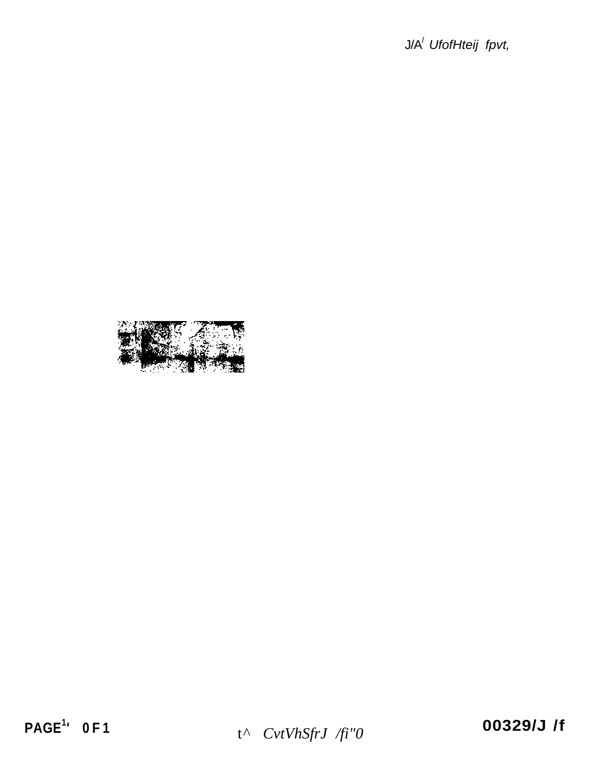J/A<sup>'</sup> UfofHteij fpvt,

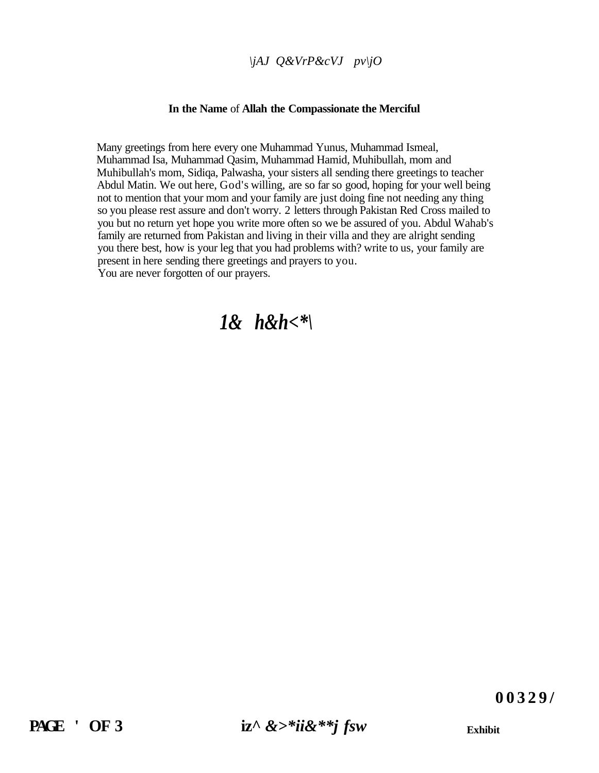## *\jAJ Q&VrP&cVJ pv\jO*

#### **In the Name** of **Allah the Compassionate the Merciful**

Many greetings from here every one Muhammad Yunus, Muhammad Ismeal, Muhammad Isa, Muhammad Qasim, Muhammad Hamid, Muhibullah, mom and Muhibullah's mom, Sidiqa, Palwasha, your sisters all sending there greetings to teacher Abdul Matin. We out here, God's willing, are so far so good, hoping for your well being not to mention that your mom and your family are just doing fine not needing any thing so you please rest assure and don't worry. 2 letters through Pakistan Red Cross mailed to you but no return yet hope you write more often so we be assured of you. Abdul Wahab's family are returned from Pakistan and living in their villa and they are alright sending you there best, how is your leg that you had problems with? write to us, your family are present in here sending there greetings and prayers to you. You are never forgotten of our prayers.

# *1& h&h<\*\*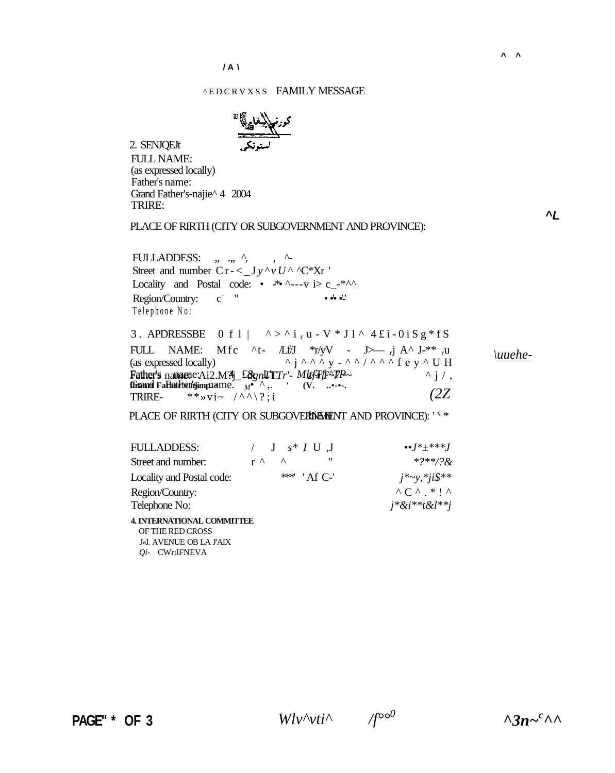#### **AEDCRVXSS FAMILY MESSAGE**

រង្គ

2. SENJQEJt **FULL NAME:** (as expressed locally) Father's name: Grand Father's-najie^4 2004 TRIRE:

## PLACE OF RIRTH (CITY OR SUBGOVERNMENT AND PROVINCE):

Locality and Postal code:  $\bullet \rightarrow^* \rightarrow \rightarrow -\rightarrow$  i> c\_-\*^^  $Region/Country: c'$  $\bullet$  ob  $\bullet^!$ Telephone No:

| 3. APDRESSBE $0$ f 1   $\gamma > \gamma$ i <sub>r</sub> u - V * J   ^ 4 £ i - 0 i S g * f S                                                                                                         |              |
|-----------------------------------------------------------------------------------------------------------------------------------------------------------------------------------------------------|--------------|
| FULL NAME: Mfc ^t- $\Delta f$ *r/yV - J>- $\Delta f$ J-** $\Delta f$                                                                                                                                | $\mu$ uuehe- |
| (as expressed locally) $\land$ j $\land$ $\land$ y - $\land$ $\land$ $\land$ f e y $\land$ U H                                                                                                      |              |
| Father's namaene:Ai2.M <sup>2</sup> j_£ <i>&amp;gnUTTr'</i> - M <i>ttfTfF</i> <sup>2</sup> <i>TP</i> ~<br>framd FaFiatherigimpanne. $M^{\bullet}$ ^,. ' (V.<br>$\mathsf{A} \mathsf{i} / \mathsf{k}$ |              |
|                                                                                                                                                                                                     |              |
| TRIRE- $**\rightarrow i \sim / \land \land ?; i$                                                                                                                                                    | (2Z)         |

PLACE OF RIRTH (CITY OR SUBGOVERNEMENT AND PROVINCE): ' ' \*

| <b>FULLADDESS:</b>                  | $/$ J $s * I U J$      | $\bullet \bullet J^* \pm ^{***}J$  |
|-------------------------------------|------------------------|------------------------------------|
| Street and number:                  | "<br>$r \wedge \wedge$ | *2**/2 $\ell$                      |
| Locality and Postal code:           | *** 'Af C-'            | $j^* \sim y$ , *ji\$**             |
| Region/Country:                     |                        | $\wedge$ C $\wedge$ $*$ ! $\wedge$ |
| Telephone No:                       |                        | $j^* \& i^{**} t \& l^{**} j$      |
| <i>A INTERNATATEONIAE CONFIGURE</i> |                        |                                    |

**4. INTERNATIONAL COMMITTEE** OF THE RED CROSS

J<J. AVENUE OB LA J'AIX  $Qi$ - CWrtlFNEVA

 $\mathbf{v}$   $\mathbf{v}$ 

 $\mathbf{L}$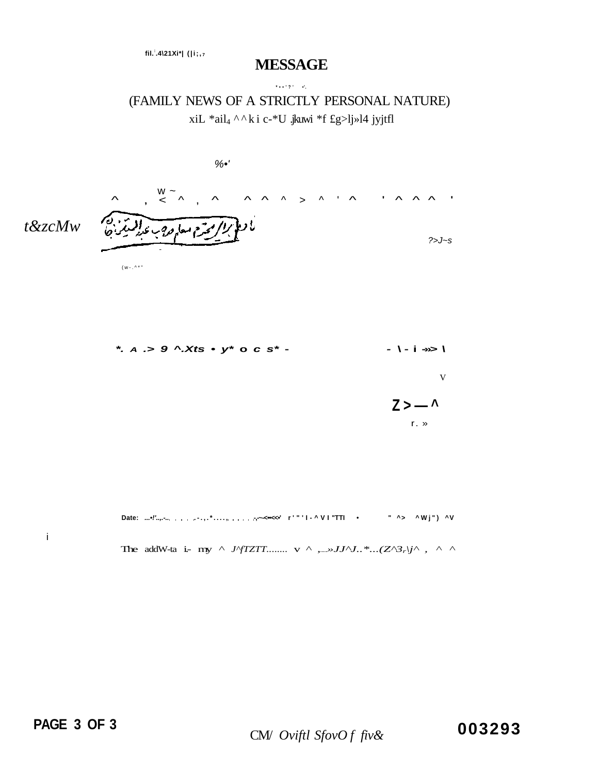fil.<sup>1</sup>.4\21Xi\*| (|i;,<sub>7</sub>

## **MESSAGE**

## $\frac{1}{2}$  ,  $\frac{1}{2}$  ,  $\frac{1}{2}$  ,  $\frac{1}{2}$  ,  $\frac{1}{2}$  ,  $\frac{1}{2}$ (FAMILY NEWS OF A STRICTLY PERSONAL NATURE) xiL \*ail4 ^ ^ k i c-\*U jkuwi \*f £g>lj»l4 jyjtfl



CM/ Oviftl SfovOf fiv&

003293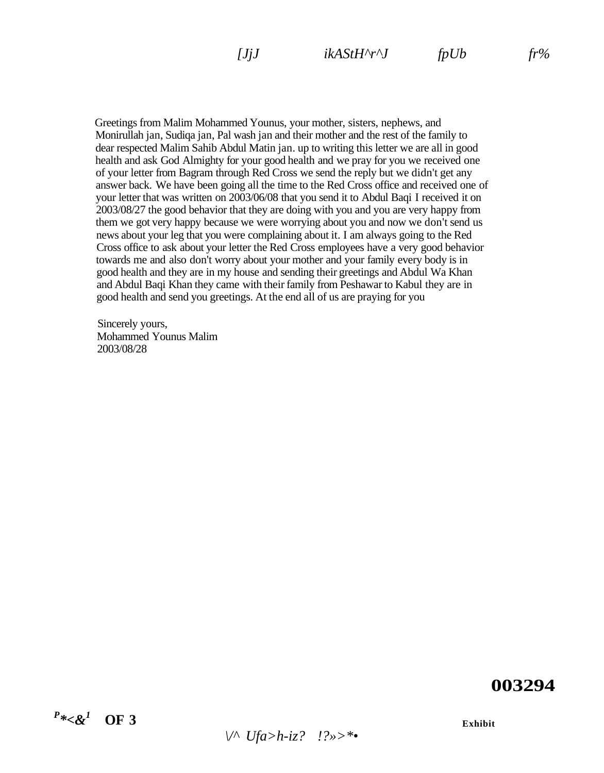Greetings from Malim Mohammed Younus, your mother, sisters, nephews, and Monirullah jan, Sudiqa jan, Pal wash jan and their mother and the rest of the family to dear respected Malim Sahib Abdul Matin jan. up to writing this letter we are all in good health and ask God Almighty for your good health and we pray for you we received one of your letter from Bagram through Red Cross we send the reply but we didn't get any answer back. We have been going all the time to the Red Cross office and received one of your letter that was written on 2003/06/08 that you send it to Abdul Baqi I received it on 2003/08/27 the good behavior that they are doing with you and you are very happy from them we got very happy because we were worrying about you and now we don't send us news about your leg that you were complaining about it. I am always going to the Red Cross office to ask about your letter the Red Cross employees have a very good behavior towards me and also don't worry about your mother and your family every body is in good health and they are in my house and sending their greetings and Abdul Wa Khan and Abdul Baqi Khan they came with their family from Peshawar to Kabul they are in good health and send you greetings. At the end all of us are praying for you

Sincerely yours, Mohammed Younus Malim 2003/08/28

## **003294**

*P \*<&<sup>1</sup>*  **OF 3 Exhibit** 

*\/^ Ufa>h-iz? !?»>\*•*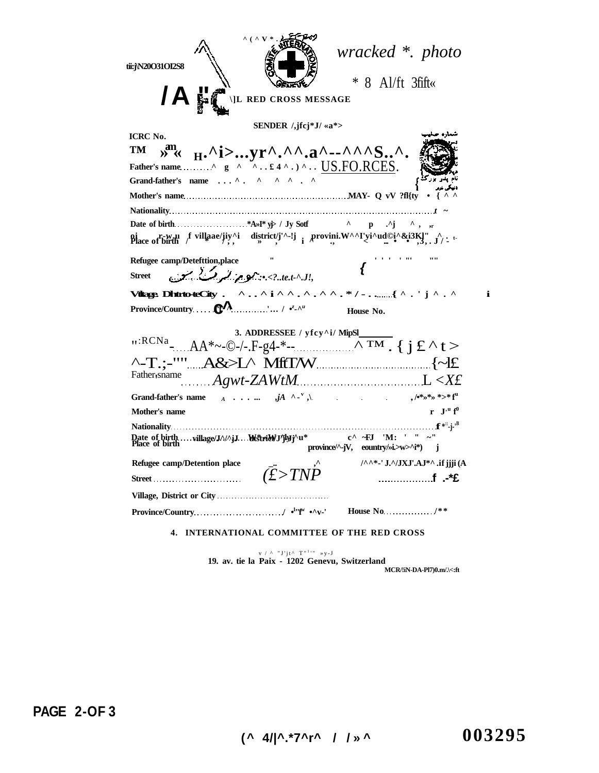| wracked *. photo<br>tii:j\N20O31OI2S8<br>$* 8$ Al/ft 3fift«<br>A EQUIL RED CROSS MESSAGE                                                                                                                                                                                                           |  |
|----------------------------------------------------------------------------------------------------------------------------------------------------------------------------------------------------------------------------------------------------------------------------------------------------|--|
| SENDER $\frac{\text{S}}{\text{G}}$ = 5.4%                                                                                                                                                                                                                                                          |  |
| <b>ICRC No.</b>                                                                                                                                                                                                                                                                                    |  |
| $\sum_{\alpha=1}^{\infty}$ H. <sup>^</sup> i>yr^.^^.a^--^^^S^.<br>TМ<br>Father's name^ g ^ ^ $\pounds$ 4 ^ . ) ^ <u>US.FO.RCES</u> .<br>Grand-father's name  ^ . ^ . ^ . ^ . ^                                                                                                                     |  |
|                                                                                                                                                                                                                                                                                                    |  |
| $\lim_{x\to a} \lim_{x\to a} f$ villaae/jiy^i district/j'^-!j a provini. W^^I'yi^ud@i^&i3KJ'', j'/: t-                                                                                                                                                                                             |  |
| Refugee camp/Detefttion,place<br>Street                                                                                                                                                                                                                                                            |  |
| <b>Vitage.</b> Dinto teCity . $\wedge$ . $\wedge$ i $\wedge$ $\wedge$ . $\wedge$ . $\wedge$ . $\wedge$ { $\wedge$ . ' j $\wedge$ . $\wedge$                                                                                                                                                        |  |
| House No.                                                                                                                                                                                                                                                                                          |  |
| 3. ADDRESSEE / yfcy^i/ MipSl_                                                                                                                                                                                                                                                                      |  |
| ${}^{\text{w:RCNa}}$ =  AA*~-0-/-.F-g4-*--^^TM . { $j \text{ £}^{\wedge} t$ >                                                                                                                                                                                                                      |  |
| Father sname $.$ $.$ $.$ $.$ $.$ $.$ $.$ $.$ $.$ $\mathcal{L}$ $.$ $\mathcal{L}$ $.$ $\mathcal{L}$ $.$ $\mathcal{L}$ $.$ $\mathcal{L}$ $.$ $\mathcal{L}$ $.$ $\mathcal{L}$ $.$ $\mathcal{L}$ $.$ $\mathcal{L}$ $.$ $\mathcal{L}$ $.$ $\mathcal{L}$ $.$ $\mathcal{L}$ $.$ $\mathcal{L}$ $.$ $\math$ |  |
| Grand-father's name $A \cdots A$ $jA \sim N$ , $jA \sim N$ , $k \sim N$ , $k \sim N$ , $k \sim N$                                                                                                                                                                                                  |  |
| r J <sup>u</sup> f <sup>0</sup><br>Mother's name                                                                                                                                                                                                                                                   |  |
|                                                                                                                                                                                                                                                                                                    |  |
| province/^-jV, eountry/»i.>w>^i*) j                                                                                                                                                                                                                                                                |  |
| /^^*-' J.^/JXJ'.AJ*^ .if jjji (A<br>Refugee camp/Detention place<br>$(\vec{\pounds} > TN\hat{P})$<br>f . <sup>*</sup> £                                                                                                                                                                            |  |
|                                                                                                                                                                                                                                                                                                    |  |
|                                                                                                                                                                                                                                                                                                    |  |
|                                                                                                                                                                                                                                                                                                    |  |

19. av. tie la Paix - 1202 Genevu, Switzerland MCR/!iN-DA-Pl7)0.m/.\<:ft

**PAGE 2-OF3** 

 $($  ^ 4/|^.\*7^r^ / / » ^

 $\mathbf i$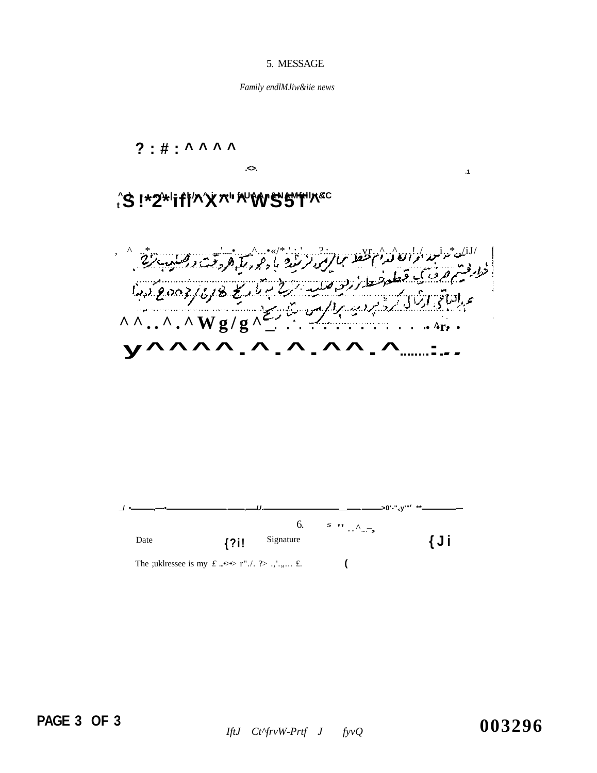5. MESSAGE

Family endlMJiw&iie news



The ;uklressee is my  $f \rightarrow \infty$  r"./. ?> .,'.,... f.

PAGE 3 OF 3

IftJ  $Ct^{\wedge}frvW-Prtf$  J  $f_{\rm V}Q$  003296